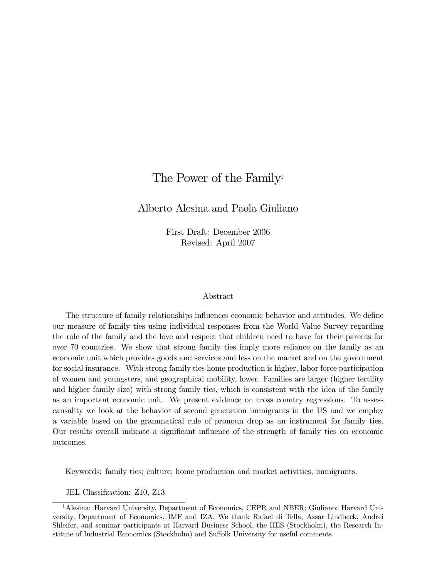# The Power of the Family<sup>1</sup>

Alberto Alesina and Paola Giuliano

First Draft: December 2006 Revised: April 2007

#### Abstract

The structure of family relationships influences economic behavior and attitudes. We define our measure of family ties using individual responses from the World Value Survey regarding the role of the family and the love and respect that children need to have for their parents for over 70 countries. We show that strong family ties imply more reliance on the family as an economic unit which provides goods and services and less on the market and on the government for social insurance. With strong family ties home production is higher, labor force participation of women and youngsters, and geographical mobility, lower. Families are larger (higher fertility and higher family size) with strong family ties, which is consistent with the idea of the family as an important economic unit. We present evidence on cross country regressions. To assess causality we look at the behavior of second generation immigrants in the US and we employ a variable based on the grammatical rule of pronoun drop as an instrument for family ties. Our results overall indicate a significant influence of the strength of family ties on economic outcomes.

Keywords: family ties; culture; home production and market activities, immigrants.

JEL-Classification: Z10, Z13

<sup>&</sup>lt;sup>1</sup> Alesina: Harvard University, Department of Economics, CEPR and NBER; Giuliano: Harvard University, Department of Economics, IMF and IZA. We thank Rafael di Tella, Assar Lindbeck, Andrei Shleifer, and seminar participants at Harvard Business School, the IIES (Stockholm), the Research Institute of Industrial Economics (Stockholm) and Suffolk University for useful comments.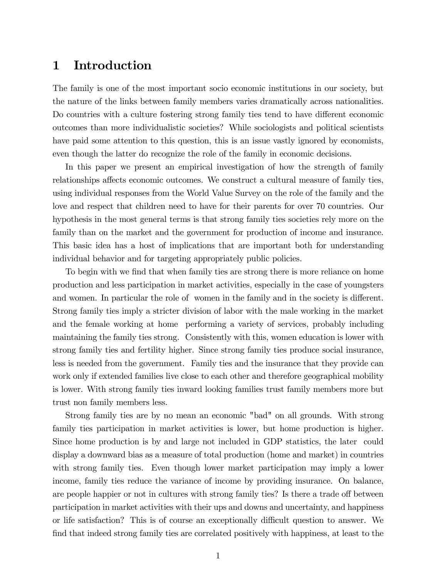# 1 Introduction

The family is one of the most important socio economic institutions in our society, but the nature of the links between family members varies dramatically across nationalities. Do countries with a culture fostering strong family ties tend to have different economic outcomes than more individualistic societies? While sociologists and political scientists have paid some attention to this question, this is an issue vastly ignored by economists, even though the latter do recognize the role of the family in economic decisions.

In this paper we present an empirical investigation of how the strength of family relationships affects economic outcomes. We construct a cultural measure of family ties, using individual responses from the World Value Survey on the role of the family and the love and respect that children need to have for their parents for over 70 countries. Our hypothesis in the most general terms is that strong family ties societies rely more on the family than on the market and the government for production of income and insurance. This basic idea has a host of implications that are important both for understanding individual behavior and for targeting appropriately public policies.

To begin with we find that when family ties are strong there is more reliance on home production and less participation in market activities, especially in the case of youngsters and women. In particular the role of women in the family and in the society is different. Strong family ties imply a stricter division of labor with the male working in the market and the female working at home performing a variety of services, probably including maintaining the family ties strong. Consistently with this, women education is lower with strong family ties and fertility higher. Since strong family ties produce social insurance, less is needed from the government. Family ties and the insurance that they provide can work only if extended families live close to each other and therefore geographical mobility is lower. With strong family ties inward looking families trust family members more but trust non family members less.

Strong family ties are by no mean an economic "bad" on all grounds. With strong family ties participation in market activities is lower, but home production is higher. Since home production is by and large not included in GDP statistics, the later could display a downward bias as a measure of total production (home and market) in countries with strong family ties. Even though lower market participation may imply a lower income, family ties reduce the variance of income by providing insurance. On balance, are people happier or not in cultures with strong family ties? Is there a trade off between participation in market activities with their ups and downs and uncertainty, and happiness or life satisfaction? This is of course an exceptionally difficult question to answer. We find that indeed strong family ties are correlated positively with happiness, at least to the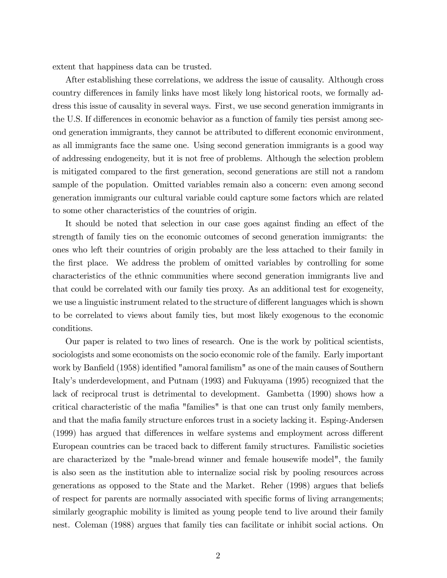extent that happiness data can be trusted.

After establishing these correlations, we address the issue of causality. Although cross country differences in family links have most likely long historical roots, we formally address this issue of causality in several ways. First, we use second generation immigrants in the U.S. If differences in economic behavior as a function of family ties persist among second generation immigrants, they cannot be attributed to different economic environment, as all immigrants face the same one. Using second generation immigrants is a good way of addressing endogeneity, but it is not free of problems. Although the selection problem is mitigated compared to the first generation, second generations are still not a random sample of the population. Omitted variables remain also a concern: even among second generation immigrants our cultural variable could capture some factors which are related to some other characteristics of the countries of origin.

It should be noted that selection in our case goes against finding an effect of the strength of family ties on the economic outcomes of second generation immigrants: the ones who left their countries of origin probably are the less attached to their family in the first place. We address the problem of omitted variables by controlling for some characteristics of the ethnic communities where second generation immigrants live and that could be correlated with our family ties proxy. As an additional test for exogeneity, we use a linguistic instrument related to the structure of different languages which is shown to be correlated to views about family ties, but most likely exogenous to the economic conditions.

Our paper is related to two lines of research. One is the work by political scientists, sociologists and some economists on the socio economic role of the family. Early important work by Banfield (1958) identified "amoral familism" as one of the main causes of Southern Italy's underdevelopment, and Putnam (1993) and Fukuyama (1995) recognized that the lack of reciprocal trust is detrimental to development. Gambetta (1990) shows how a critical characteristic of the mafia "families" is that one can trust only family members, and that the mafia family structure enforces trust in a society lacking it. Esping-Andersen (1999) has argued that differences in welfare systems and employment across different European countries can be traced back to different family structures. Familistic societies are characterized by the "male-bread winner and female housewife model", the family is also seen as the institution able to internalize social risk by pooling resources across generations as opposed to the State and the Market. Reher (1998) argues that beliefs of respect for parents are normally associated with specific forms of living arrangements; similarly geographic mobility is limited as young people tend to live around their family nest. Coleman (1988) argues that family ties can facilitate or inhibit social actions. On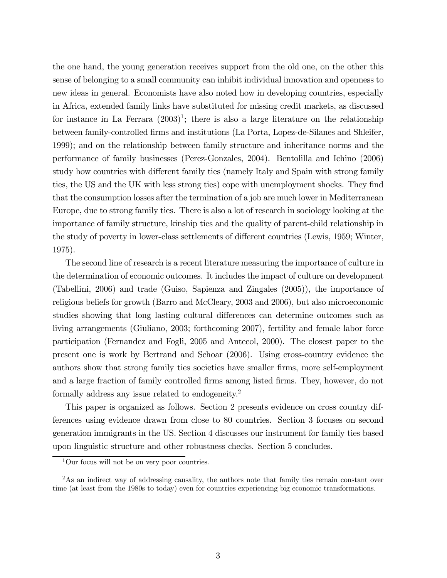the one hand, the young generation receives support from the old one, on the other this sense of belonging to a small community can inhibit individual innovation and openness to new ideas in general. Economists have also noted how in developing countries, especially in Africa, extended family links have substituted for missing credit markets, as discussed for instance in La Ferrara  $(2003)^1$ ; there is also a large literature on the relationship between family-controlled firms and institutions (La Porta, Lopez-de-Silanes and Shleifer, 1999); and on the relationship between family structure and inheritance norms and the performance of family businesses (Perez-Gonzales, 2004). Bentolilla and Ichino (2006) study how countries with different family ties (namely Italy and Spain with strong family ties, the US and the UK with less strong ties) cope with unemployment shocks. They find that the consumption losses after the termination of a job are much lower in Mediterranean Europe, due to strong family ties. There is also a lot of research in sociology looking at the importance of family structure, kinship ties and the quality of parent-child relationship in the study of poverty in lower-class settlements of different countries (Lewis, 1959; Winter, 1975).

The second line of research is a recent literature measuring the importance of culture in the determination of economic outcomes. It includes the impact of culture on development (Tabellini, 2006) and trade (Guiso, Sapienza and Zingales (2005)), the importance of religious beliefs for growth (Barro and McCleary, 2003 and 2006), but also microeconomic studies showing that long lasting cultural differences can determine outcomes such as living arrangements (Giuliano, 2003; forthcoming 2007), fertility and female labor force participation (Fernandez and Fogli, 2005 and Antecol, 2000). The closest paper to the present one is work by Bertrand and Schoar (2006). Using cross-country evidence the authors show that strong family ties societies have smaller firms, more self-employment and a large fraction of family controlled firms among listed firms. They, however, do not formally address any issue related to endogeneity.<sup>2</sup>

This paper is organized as follows. Section 2 presents evidence on cross country differences using evidence drawn from close to 80 countries. Section 3 focuses on second generation immigrants in the US. Section 4 discusses our instrument for family ties based upon linguistic structure and other robustness checks. Section 5 concludes.

 $1$ Our focus will not be on very poor countries.

<sup>&</sup>lt;sup>2</sup>As an indirect way of addressing causality, the authors note that family ties remain constant over time (at least from the 1980s to today) even for countries experiencing big economic transformations.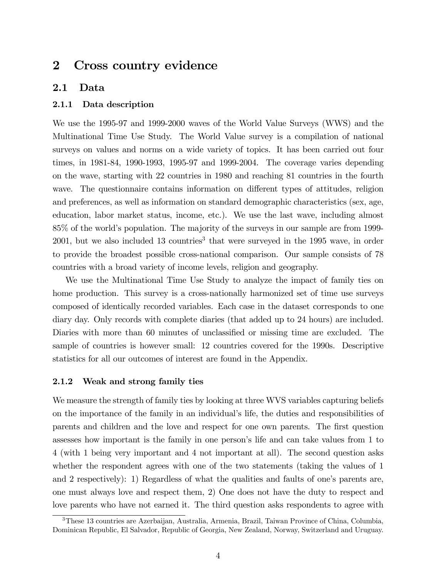# 2 Cross country evidence

#### 2.1 Data

#### 2.1.1 Data description

We use the 1995-97 and 1999-2000 waves of the World Value Surveys (WWS) and the Multinational Time Use Study. The World Value survey is a compilation of national surveys on values and norms on a wide variety of topics. It has been carried out four times, in 1981-84, 1990-1993, 1995-97 and 1999-2004. The coverage varies depending on the wave, starting with 22 countries in 1980 and reaching 81 countries in the fourth wave. The questionnaire contains information on different types of attitudes, religion and preferences, as well as information on standard demographic characteristics (sex, age, education, labor market status, income, etc.). We use the last wave, including almost 85% of the world's population. The majority of the surveys in our sample are from 1999-  $2001$ , but we also included 13 countries<sup>3</sup> that were surveyed in the 1995 wave, in order to provide the broadest possible cross-national comparison. Our sample consists of 78 countries with a broad variety of income levels, religion and geography.

We use the Multinational Time Use Study to analyze the impact of family ties on home production. This survey is a cross-nationally harmonized set of time use surveys composed of identically recorded variables. Each case in the dataset corresponds to one diary day. Only records with complete diaries (that added up to 24 hours) are included. Diaries with more than 60 minutes of unclassified or missing time are excluded. The sample of countries is however small: 12 countries covered for the 1990s. Descriptive statistics for all our outcomes of interest are found in the Appendix.

#### 2.1.2 Weak and strong family ties

We measure the strength of family ties by looking at three WVS variables capturing beliefs on the importance of the family in an individual's life, the duties and responsibilities of parents and children and the love and respect for one own parents. The first question assesses how important is the family in one person's life and can take values from 1 to 4 (with 1 being very important and 4 not important at all). The second question asks whether the respondent agrees with one of the two statements (taking the values of 1 and 2 respectively): 1) Regardless of what the qualities and faults of one's parents are, one must always love and respect them, 2) One does not have the duty to respect and love parents who have not earned it. The third question asks respondents to agree with

<sup>3</sup>These 13 countries are Azerbaijan, Australia, Armenia, Brazil, Taiwan Province of China, Columbia, Dominican Republic, El Salvador, Republic of Georgia, New Zealand, Norway, Switzerland and Uruguay.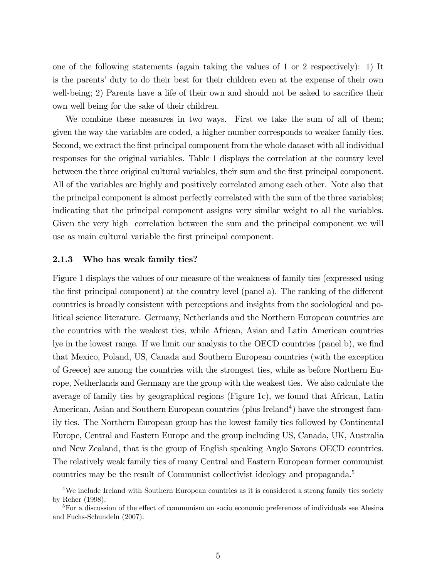one of the following statements (again taking the values of 1 or 2 respectively): 1) It is the parents' duty to do their best for their children even at the expense of their own well-being; 2) Parents have a life of their own and should not be asked to sacrifice their own well being for the sake of their children.

We combine these measures in two ways. First we take the sum of all of them; given the way the variables are coded, a higher number corresponds to weaker family ties. Second, we extract the first principal component from the whole dataset with all individual responses for the original variables. Table 1 displays the correlation at the country level between the three original cultural variables, their sum and the first principal component. All of the variables are highly and positively correlated among each other. Note also that the principal component is almost perfectly correlated with the sum of the three variables; indicating that the principal component assigns very similar weight to all the variables. Given the very high correlation between the sum and the principal component we will use as main cultural variable the first principal component.

#### 2.1.3 Who has weak family ties?

Figure 1 displays the values of our measure of the weakness of family ties (expressed using the first principal component) at the country level (panel a). The ranking of the different countries is broadly consistent with perceptions and insights from the sociological and political science literature. Germany, Netherlands and the Northern European countries are the countries with the weakest ties, while African, Asian and Latin American countries lye in the lowest range. If we limit our analysis to the OECD countries (panel b), we find that Mexico, Poland, US, Canada and Southern European countries (with the exception of Greece) are among the countries with the strongest ties, while as before Northern Europe, Netherlands and Germany are the group with the weakest ties. We also calculate the average of family ties by geographical regions (Figure 1c), we found that African, Latin American, Asian and Southern European countries (plus Ireland<sup>4</sup>) have the strongest family ties. The Northern European group has the lowest family ties followed by Continental Europe, Central and Eastern Europe and the group including US, Canada, UK, Australia and New Zealand, that is the group of English speaking Anglo Saxons OECD countries. The relatively weak family ties of many Central and Eastern European former communist countries may be the result of Communist collectivist ideology and propaganda.<sup>5</sup>

<sup>&</sup>lt;sup>4</sup>We include Ireland with Southern European countries as it is considered a strong family ties society by Reher (1998).

<sup>&</sup>lt;sup>5</sup>For a discussion of the effect of communism on socio economic preferences of individuals see Alesina and Fuchs-Schundeln (2007).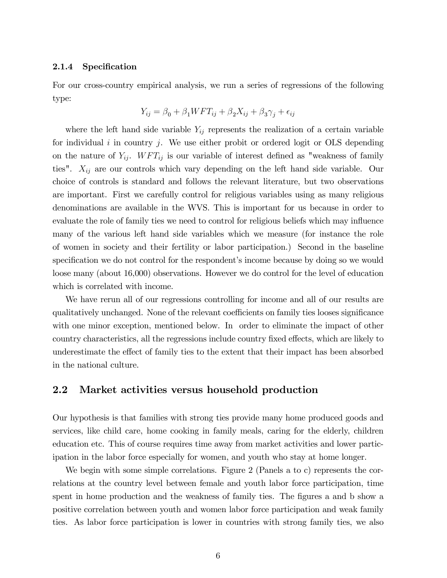#### 2.1.4 Specification

For our cross-country empirical analysis, we run a series of regressions of the following type:

$$
Y_{ij} = \beta_0 + \beta_1 WFT_{ij} + \beta_2 X_{ij} + \beta_3 \gamma_j + \epsilon_{ij}
$$

where the left hand side variable  $Y_{ij}$  represents the realization of a certain variable for individual i in country j. We use either probit or ordered logit or OLS depending on the nature of  $Y_{ij}$ .  $WFT_{ij}$  is our variable of interest defined as "weakness of family ties".  $X_{ij}$  are our controls which vary depending on the left hand side variable. Our choice of controls is standard and follows the relevant literature, but two observations are important. First we carefully control for religious variables using as many religious denominations are available in the WVS. This is important for us because in order to evaluate the role of family ties we need to control for religious beliefs which may influence many of the various left hand side variables which we measure (for instance the role of women in society and their fertility or labor participation.) Second in the baseline specification we do not control for the respondent's income because by doing so we would loose many (about 16,000) observations. However we do control for the level of education which is correlated with income.

We have rerun all of our regressions controlling for income and all of our results are qualitatively unchanged. None of the relevant coefficients on family ties looses significance with one minor exception, mentioned below. In order to eliminate the impact of other country characteristics, all the regressions include country fixed effects, which are likely to underestimate the effect of family ties to the extent that their impact has been absorbed in the national culture.

#### 2.2 Market activities versus household production

Our hypothesis is that families with strong ties provide many home produced goods and services, like child care, home cooking in family meals, caring for the elderly, children education etc. This of course requires time away from market activities and lower participation in the labor force especially for women, and youth who stay at home longer.

We begin with some simple correlations. Figure 2 (Panels a to c) represents the correlations at the country level between female and youth labor force participation, time spent in home production and the weakness of family ties. The figures a and b show a positive correlation between youth and women labor force participation and weak family ties. As labor force participation is lower in countries with strong family ties, we also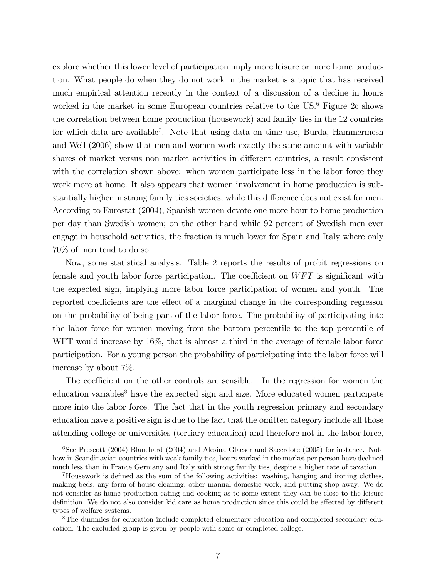explore whether this lower level of participation imply more leisure or more home production. What people do when they do not work in the market is a topic that has received much empirical attention recently in the context of a discussion of a decline in hours worked in the market in some European countries relative to the  $US^6$  Figure 2c shows the correlation between home production (housework) and family ties in the 12 countries for which data are available<sup>7</sup>. Note that using data on time use, Burda, Hammermesh and Weil (2006) show that men and women work exactly the same amount with variable shares of market versus non market activities in different countries, a result consistent with the correlation shown above: when women participate less in the labor force they work more at home. It also appears that women involvement in home production is substantially higher in strong family ties societies, while this difference does not exist for men. According to Eurostat (2004), Spanish women devote one more hour to home production per day than Swedish women; on the other hand while 92 percent of Swedish men ever engage in household activities, the fraction is much lower for Spain and Italy where only 70% of men tend to do so.

Now, some statistical analysis. Table 2 reports the results of probit regressions on female and youth labor force participation. The coefficient on  $WFT$  is significant with the expected sign, implying more labor force participation of women and youth. The reported coefficients are the effect of a marginal change in the corresponding regressor on the probability of being part of the labor force. The probability of participating into the labor force for women moving from the bottom percentile to the top percentile of WFT would increase by  $16\%$ , that is almost a third in the average of female labor force participation. For a young person the probability of participating into the labor force will increase by about 7%.

The coefficient on the other controls are sensible. In the regression for women the  $\alpha$  education variables<sup>8</sup> have the expected sign and size. More educated women participate more into the labor force. The fact that in the youth regression primary and secondary education have a positive sign is due to the fact that the omitted category include all those attending college or universities (tertiary education) and therefore not in the labor force,

 $6$ See Prescott (2004) Blanchard (2004) and Alesina Glaeser and Sacerdote (2005) for instance. Note how in Scandinavian countries with weak family ties, hours worked in the market per person have declined much less than in France Germany and Italy with strong family ties, despite a higher rate of taxation.

<sup>7</sup>Housework is defined as the sum of the following activities: washing, hanging and ironing clothes, making beds, any form of house cleaning, other manual domestic work, and putting shop away. We do not consider as home production eating and cooking as to some extent they can be close to the leisure definition. We do not also consider kid care as home production since this could be affected by different types of welfare systems.

<sup>8</sup>The dummies for education include completed elementary education and completed secondary education. The excluded group is given by people with some or completed college.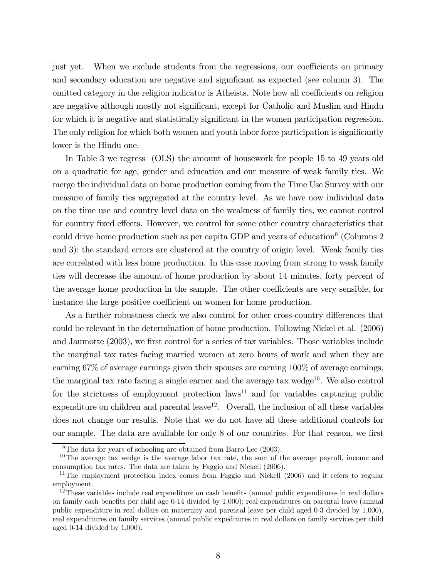just yet. When we exclude students from the regressions, our coefficients on primary and secondary education are negative and significant as expected (see column 3). The omitted category in the religion indicator is Atheists. Note how all coefficients on religion are negative although mostly not significant, except for Catholic and Muslim and Hindu for which it is negative and statistically significant in the women participation regression. The only religion for which both women and youth labor force participation is significantly lower is the Hindu one.

In Table 3 we regress (OLS) the amount of housework for people 15 to 49 years old on a quadratic for age, gender and education and our measure of weak family ties. We merge the individual data on home production coming from the Time Use Survey with our measure of family ties aggregated at the country level. As we have now individual data on the time use and country level data on the weakness of family ties, we cannot control for country fixed effects. However, we control for some other country characteristics that could drive home production such as per capita GDP and years of education<sup>9</sup> (Columns 2) and 3); the standard errors are clustered at the country of origin level. Weak family ties are correlated with less home production. In this case moving from strong to weak family ties will decrease the amount of home production by about 14 minutes, forty percent of the average home production in the sample. The other coefficients are very sensible, for instance the large positive coefficient on women for home production.

As a further robustness check we also control for other cross-country differences that could be relevant in the determination of home production. Following Nickel et al. (2006) and Jaumotte (2003), we first control for a series of tax variables. Those variables include the marginal tax rates facing married women at zero hours of work and when they are earning 67% of average earnings given their spouses are earning 100% of average earnings, the marginal tax rate facing a single earner and the average tax wedge<sup>10</sup>. We also control for the strictness of employment protection  $\text{laws}^{11}$  and for variables capturing public expenditure on children and parental leave<sup>12</sup>. Overall, the inclusion of all these variables does not change our results. Note that we do not have all these additional controls for our sample. The data are available for only 8 of our countries. For that reason, we first

 $9$ The data for years of schooling are obtained from Barro-Lee (2003).

 $10$ The average tax wedge is the average labor tax rate, the sum of the average payroll, income and consumption tax rates. The data are taken by Faggio and Nickell (2006).

 $11$ The employment protection index comes from Faggio and Nickell (2006) and it refers to regular employment.

<sup>&</sup>lt;sup>12</sup>These variables include real expenditure on cash benefits (annual public expenditures in real dollars on family cash benefits per child age 0-14 divided by 1,000); real expenditures on parental leave (annual public expenditure in real dollars on maternity and parental leave per child aged 0-3 divided by 1,000), real expenditures on family services (annual public expeditures in real dollars on family services per child aged 0-14 divided by 1,000).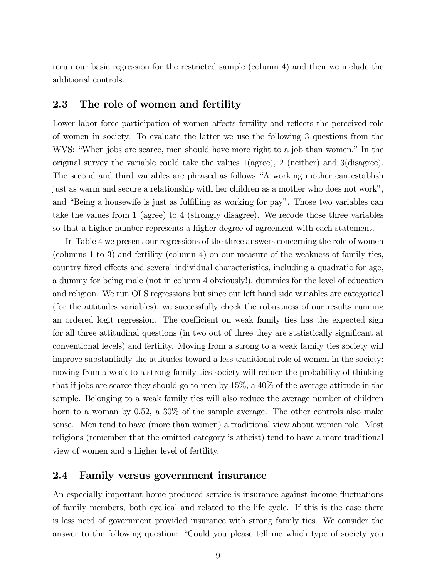rerun our basic regression for the restricted sample (column 4) and then we include the additional controls.

# 2.3 The role of women and fertility

Lower labor force participation of women affects fertility and reflects the perceived role of women in society. To evaluate the latter we use the following 3 questions from the WVS: "When jobs are scarce, men should have more right to a job than women." In the original survey the variable could take the values 1(agree), 2 (neither) and 3(disagree). The second and third variables are phrased as follows "A working mother can establish just as warm and secure a relationship with her children as a mother who does not work", and "Being a housewife is just as fulfilling as working for pay". Those two variables can take the values from 1 (agree) to 4 (strongly disagree). We recode those three variables so that a higher number represents a higher degree of agreement with each statement.

In Table 4 we present our regressions of the three answers concerning the role of women (columns 1 to 3) and fertility (column 4) on our measure of the weakness of family ties, country fixed effects and several individual characteristics, including a quadratic for age, a dummy for being male (not in column 4 obviously!), dummies for the level of education and religion. We run OLS regressions but since our left hand side variables are categorical (for the attitudes variables), we successfully check the robustness of our results running an ordered logit regression. The coefficient on weak family ties has the expected sign for all three attitudinal questions (in two out of three they are statistically significant at conventional levels) and fertility. Moving from a strong to a weak family ties society will improve substantially the attitudes toward a less traditional role of women in the society: moving from a weak to a strong family ties society will reduce the probability of thinking that if jobs are scarce they should go to men by 15%, a 40% of the average attitude in the sample. Belonging to a weak family ties will also reduce the average number of children born to a woman by 0.52, a 30% of the sample average. The other controls also make sense. Men tend to have (more than women) a traditional view about women role. Most religions (remember that the omitted category is atheist) tend to have a more traditional view of women and a higher level of fertility.

#### 2.4 Family versus government insurance

An especially important home produced service is insurance against income fluctuations of family members, both cyclical and related to the life cycle. If this is the case there is less need of government provided insurance with strong family ties. We consider the answer to the following question: "Could you please tell me which type of society you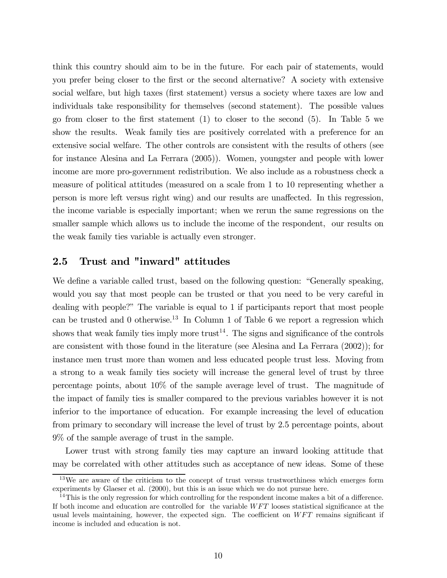think this country should aim to be in the future. For each pair of statements, would you prefer being closer to the first or the second alternative? A society with extensive social welfare, but high taxes (first statement) versus a society where taxes are low and individuals take responsibility for themselves (second statement). The possible values go from closer to the first statement (1) to closer to the second (5). In Table 5 we show the results. Weak family ties are positively correlated with a preference for an extensive social welfare. The other controls are consistent with the results of others (see for instance Alesina and La Ferrara (2005)). Women, youngster and people with lower income are more pro-government redistribution. We also include as a robustness check a measure of political attitudes (measured on a scale from 1 to 10 representing whether a person is more left versus right wing) and our results are unaffected. In this regression, the income variable is especially important; when we rerun the same regressions on the smaller sample which allows us to include the income of the respondent, our results on the weak family ties variable is actually even stronger.

## 2.5 Trust and "inward" attitudes

We define a variable called trust, based on the following question: "Generally speaking, would you say that most people can be trusted or that you need to be very careful in dealing with people?" The variable is equal to 1 if participants report that most people can be trusted and 0 otherwise.<sup>13</sup> In Column 1 of Table 6 we report a regression which shows that weak family ties imply more trust<sup>14</sup>. The signs and significance of the controls are consistent with those found in the literature (see Alesina and La Ferrara (2002)); for instance men trust more than women and less educated people trust less. Moving from a strong to a weak family ties society will increase the general level of trust by three percentage points, about 10% of the sample average level of trust. The magnitude of the impact of family ties is smaller compared to the previous variables however it is not inferior to the importance of education. For example increasing the level of education from primary to secondary will increase the level of trust by 2.5 percentage points, about 9% of the sample average of trust in the sample.

Lower trust with strong family ties may capture an inward looking attitude that may be correlated with other attitudes such as acceptance of new ideas. Some of these

<sup>&</sup>lt;sup>13</sup>We are aware of the criticism to the concept of trust versus trustworthiness which emerges form experiments by Glaeser et al. (2000), but this is an issue which we do not pursue here.

 $14$ This is the only regression for which controlling for the respondent income makes a bit of a difference. If both income and education are controlled for the variable  $WFT$  looses statistical significance at the usual levels maintaining, however, the expected sign. The coefficient on  $WFT$  remains significant if income is included and education is not.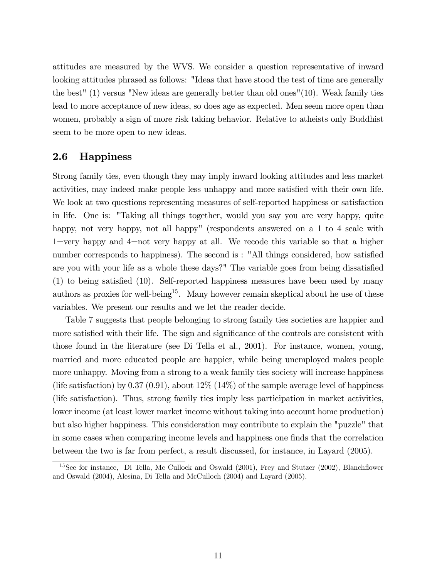attitudes are measured by the WVS. We consider a question representative of inward looking attitudes phrased as follows: "Ideas that have stood the test of time are generally the best" (1) versus "New ideas are generally better than old ones"(10). Weak family ties lead to more acceptance of new ideas, so does age as expected. Men seem more open than women, probably a sign of more risk taking behavior. Relative to atheists only Buddhist seem to be more open to new ideas.

#### 2.6 Happiness

Strong family ties, even though they may imply inward looking attitudes and less market activities, may indeed make people less unhappy and more satisfied with their own life. We look at two questions representing measures of self-reported happiness or satisfaction in life. One is: "Taking all things together, would you say you are very happy, quite happy, not very happy, not all happy" (respondents answered on a 1 to 4 scale with 1=very happy and 4=not very happy at all. We recode this variable so that a higher number corresponds to happiness). The second is : "All things considered, how satisfied are you with your life as a whole these days?" The variable goes from being dissatisfied (1) to being satisfied (10). Self-reported happiness measures have been used by many authors as proxies for well-being<sup>15</sup>. Many however remain skeptical about he use of these variables. We present our results and we let the reader decide.

Table 7 suggests that people belonging to strong family ties societies are happier and more satisfied with their life. The sign and significance of the controls are consistent with those found in the literature (see Di Tella et al., 2001). For instance, women, young, married and more educated people are happier, while being unemployed makes people more unhappy. Moving from a strong to a weak family ties society will increase happiness (life satisfaction) by 0.37 (0.91), about  $12\%$  (14%) of the sample average level of happiness (life satisfaction). Thus, strong family ties imply less participation in market activities, lower income (at least lower market income without taking into account home production) but also higher happiness. This consideration may contribute to explain the "puzzle" that in some cases when comparing income levels and happiness one finds that the correlation between the two is far from perfect, a result discussed, for instance, in Layard (2005).

<sup>&</sup>lt;sup>15</sup>See for instance, Di Tella, Mc Cullock and Oswald (2001), Frey and Stutzer (2002), Blanchflower and Oswald (2004), Alesina, Di Tella and McCulloch (2004) and Layard (2005).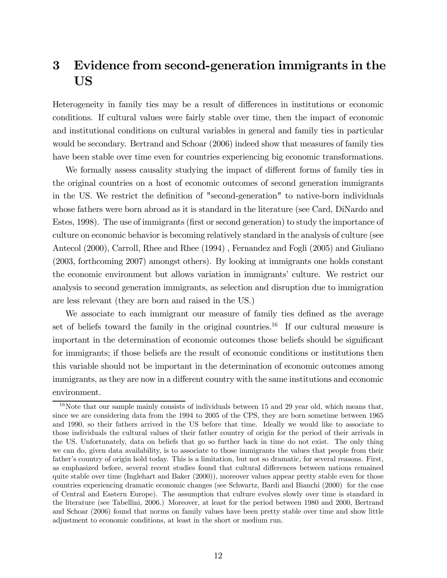# 3 Evidence from second-generation immigrants in the US

Heterogeneity in family ties may be a result of differences in institutions or economic conditions. If cultural values were fairly stable over time, then the impact of economic and institutional conditions on cultural variables in general and family ties in particular would be secondary. Bertrand and Schoar (2006) indeed show that measures of family ties have been stable over time even for countries experiencing big economic transformations.

We formally assess causality studying the impact of different forms of family ties in the original countries on a host of economic outcomes of second generation immigrants in the US. We restrict the definition of "second-generation" to native-born individuals whose fathers were born abroad as it is standard in the literature (see Card, DiNardo and Estes, 1998). The use of immigrants (first or second generation) to study the importance of culture on economic behavior is becoming relatively standard in the analysis of culture (see Antecol (2000), Carroll, Rhee and Rhee (1994) , Fernandez and Fogli (2005) and Giuliano (2003, forthcoming 2007) amongst others). By looking at immigrants one holds constant the economic environment but allows variation in immigrants' culture. We restrict our analysis to second generation immigrants, as selection and disruption due to immigration are less relevant (they are born and raised in the US.)

We associate to each immigrant our measure of family ties defined as the average set of beliefs toward the family in the original countries.<sup>16</sup> If our cultural measure is important in the determination of economic outcomes those beliefs should be significant for immigrants; if those beliefs are the result of economic conditions or institutions then this variable should not be important in the determination of economic outcomes among immigrants, as they are now in a different country with the same institutions and economic environment.

 $16$ Note that our sample mainly consists of individuals between 15 and 29 year old, which means that, since we are considering data from the 1994 to 2005 of the CPS, they are born sometime between 1965 and 1990, so their fathers arrived in the US before that time. Ideally we would like to associate to those individuals the cultural values of their father country of origin for the period of their arrivals in the US. Unfortunately, data on beliefs that go so further back in time do not exist. The only thing we can do, given data availability, is to associate to those immigrants the values that people from their father's country of origin hold today. This is a limitation, but not so dramatic, for several reasons. First, as emphasized before, several recent studies found that cultural differences between nations remained quite stable over time (Inglehart and Baker (2000)), moreover values appear pretty stable even for those countries experiencing dramatic economic changes (see Schwartz, Bardi and Bianchi (2000) for the case of Central and Eastern Europe). The assumption that culture evolves slowly over time is standard in the literature (see Tabellini, 2006.) Moreover, at least for the period between 1980 and 2000, Bertrand and Schoar (2006) found that norms on family values have been pretty stable over time and show little adjustment to economic conditions, at least in the short or medium run.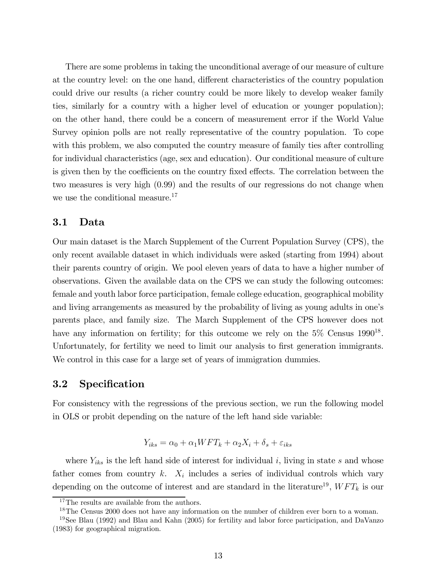There are some problems in taking the unconditional average of our measure of culture at the country level: on the one hand, different characteristics of the country population could drive our results (a richer country could be more likely to develop weaker family ties, similarly for a country with a higher level of education or younger population); on the other hand, there could be a concern of measurement error if the World Value Survey opinion polls are not really representative of the country population. To cope with this problem, we also computed the country measure of family ties after controlling for individual characteristics (age, sex and education). Our conditional measure of culture is given then by the coefficients on the country fixed effects. The correlation between the two measures is very high (0.99) and the results of our regressions do not change when we use the conditional measure.<sup>17</sup>

#### 3.1 Data

Our main dataset is the March Supplement of the Current Population Survey (CPS), the only recent available dataset in which individuals were asked (starting from 1994) about their parents country of origin. We pool eleven years of data to have a higher number of observations. Given the available data on the CPS we can study the following outcomes: female and youth labor force participation, female college education, geographical mobility and living arrangements as measured by the probability of living as young adults in one's parents place, and family size. The March Supplement of the CPS however does not have any information on fertility; for this outcome we rely on the  $5\%$  Census  $1990^{18}$ . Unfortunately, for fertility we need to limit our analysis to first generation immigrants. We control in this case for a large set of years of immigration dummies.

# 3.2 Specification

For consistency with the regressions of the previous section, we run the following model in OLS or probit depending on the nature of the left hand side variable:

$$
Y_{iks} = \alpha_0 + \alpha_1 WFT_k + \alpha_2 X_i + \delta_s + \varepsilon_{iks}
$$

where  $Y_{iks}$  is the left hand side of interest for individual i, living in state s and whose father comes from country  $k$ .  $X_i$  includes a series of individual controls which vary depending on the outcome of interest and are standard in the literature<sup>19</sup>,  $WFT_k$  is our

 $^{17}{\rm The}$  results are available from the authors.

<sup>&</sup>lt;sup>18</sup>The Census 2000 does not have any information on the number of children ever born to a woman.

<sup>&</sup>lt;sup>19</sup>See Blau (1992) and Blau and Kahn (2005) for fertility and labor force participation, and DaVanzo (1983) for geographical migration.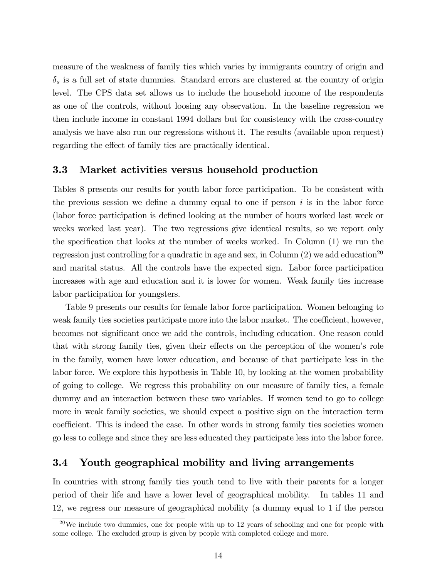measure of the weakness of family ties which varies by immigrants country of origin and  $\delta_s$  is a full set of state dummies. Standard errors are clustered at the country of origin level. The CPS data set allows us to include the household income of the respondents as one of the controls, without loosing any observation. In the baseline regression we then include income in constant 1994 dollars but for consistency with the cross-country analysis we have also run our regressions without it. The results (available upon request) regarding the effect of family ties are practically identical.

#### 3.3 Market activities versus household production

Tables 8 presents our results for youth labor force participation. To be consistent with the previous session we define a dummy equal to one if person  $i$  is in the labor force (labor force participation is defined looking at the number of hours worked last week or weeks worked last year). The two regressions give identical results, so we report only the specification that looks at the number of weeks worked. In Column (1) we run the regression just controlling for a quadratic in age and sex, in Column  $(2)$  we add education<sup>20</sup> and marital status. All the controls have the expected sign. Labor force participation increases with age and education and it is lower for women. Weak family ties increase labor participation for youngsters.

Table 9 presents our results for female labor force participation. Women belonging to weak family ties societies participate more into the labor market. The coefficient, however, becomes not significant once we add the controls, including education. One reason could that with strong family ties, given their effects on the perception of the women's role in the family, women have lower education, and because of that participate less in the labor force. We explore this hypothesis in Table 10, by looking at the women probability of going to college. We regress this probability on our measure of family ties, a female dummy and an interaction between these two variables. If women tend to go to college more in weak family societies, we should expect a positive sign on the interaction term coefficient. This is indeed the case. In other words in strong family ties societies women go less to college and since they are less educated they participate less into the labor force.

#### 3.4 Youth geographical mobility and living arrangements

In countries with strong family ties youth tend to live with their parents for a longer period of their life and have a lower level of geographical mobility. In tables 11 and 12, we regress our measure of geographical mobility (a dummy equal to 1 if the person

 $^{20}$ We include two dummies, one for people with up to 12 years of schooling and one for people with some college. The excluded group is given by people with completed college and more.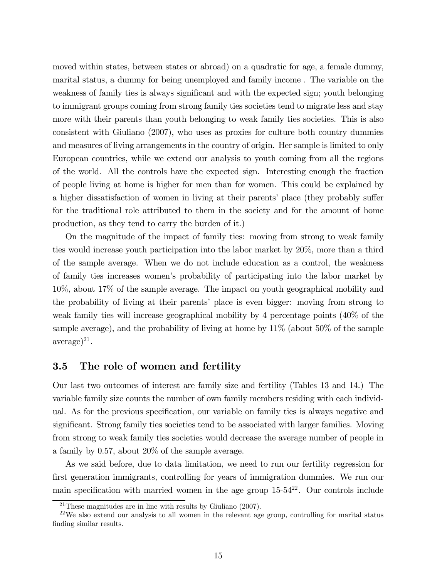moved within states, between states or abroad) on a quadratic for age, a female dummy, marital status, a dummy for being unemployed and family income . The variable on the weakness of family ties is always significant and with the expected sign; youth belonging to immigrant groups coming from strong family ties societies tend to migrate less and stay more with their parents than youth belonging to weak family ties societies. This is also consistent with Giuliano (2007), who uses as proxies for culture both country dummies and measures of living arrangements in the country of origin. Her sample is limited to only European countries, while we extend our analysis to youth coming from all the regions of the world. All the controls have the expected sign. Interesting enough the fraction of people living at home is higher for men than for women. This could be explained by a higher dissatisfaction of women in living at their parents' place (they probably suffer for the traditional role attributed to them in the society and for the amount of home production, as they tend to carry the burden of it.)

On the magnitude of the impact of family ties: moving from strong to weak family ties would increase youth participation into the labor market by 20%, more than a third of the sample average. When we do not include education as a control, the weakness of family ties increases women's probability of participating into the labor market by 10%, about 17% of the sample average. The impact on youth geographical mobility and the probability of living at their parents' place is even bigger: moving from strong to weak family ties will increase geographical mobility by 4 percentage points (40% of the sample average), and the probability of living at home by 11% (about 50% of the sample  $average)^{21}.$ 

# 3.5 The role of women and fertility

Our last two outcomes of interest are family size and fertility (Tables 13 and 14.) The variable family size counts the number of own family members residing with each individual. As for the previous specification, our variable on family ties is always negative and significant. Strong family ties societies tend to be associated with larger families. Moving from strong to weak family ties societies would decrease the average number of people in a family by 0.57, about 20% of the sample average.

As we said before, due to data limitation, we need to run our fertility regression for first generation immigrants, controlling for years of immigration dummies. We run our main specification with married women in the age group  $15-54^{22}$ . Our controls include

<sup>&</sup>lt;sup>21</sup>These magnitudes are in line with results by Giuliano  $(2007)$ .

 $^{22}$ We also extend our analysis to all women in the relevant age group, controlling for marital status finding similar results.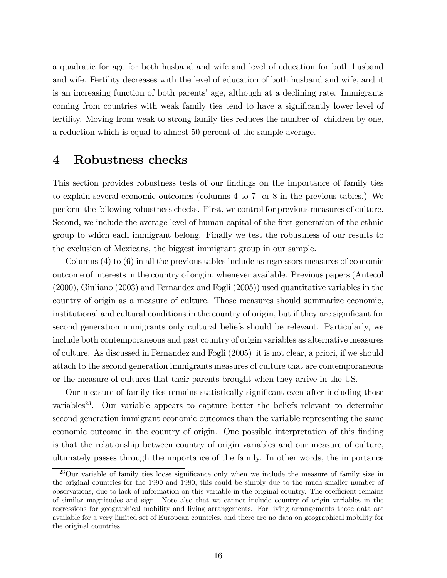a quadratic for age for both husband and wife and level of education for both husband and wife. Fertility decreases with the level of education of both husband and wife, and it is an increasing function of both parents' age, although at a declining rate. Immigrants coming from countries with weak family ties tend to have a significantly lower level of fertility. Moving from weak to strong family ties reduces the number of children by one, a reduction which is equal to almost 50 percent of the sample average.

# 4 Robustness checks

This section provides robustness tests of our findings on the importance of family ties to explain several economic outcomes (columns 4 to 7 or 8 in the previous tables.) We perform the following robustness checks. First, we control for previous measures of culture. Second, we include the average level of human capital of the first generation of the ethnic group to which each immigrant belong. Finally we test the robustness of our results to the exclusion of Mexicans, the biggest immigrant group in our sample.

Columns (4) to (6) in all the previous tables include as regressors measures of economic outcome of interests in the country of origin, whenever available. Previous papers (Antecol (2000), Giuliano (2003) and Fernandez and Fogli (2005)) used quantitative variables in the country of origin as a measure of culture. Those measures should summarize economic, institutional and cultural conditions in the country of origin, but if they are significant for second generation immigrants only cultural beliefs should be relevant. Particularly, we include both contemporaneous and past country of origin variables as alternative measures of culture. As discussed in Fernandez and Fogli (2005) it is not clear, a priori, if we should attach to the second generation immigrants measures of culture that are contemporaneous or the measure of cultures that their parents brought when they arrive in the US.

Our measure of family ties remains statistically significant even after including those variables<sup>23</sup>. Our variable appears to capture better the beliefs relevant to determine second generation immigrant economic outcomes than the variable representing the same economic outcome in the country of origin. One possible interpretation of this finding is that the relationship between country of origin variables and our measure of culture, ultimately passes through the importance of the family. In other words, the importance

<sup>23</sup>Our variable of family ties loose significance only when we include the measure of family size in the original countries for the 1990 and 1980, this could be simply due to the much smaller number of observations, due to lack of information on this variable in the original country. The coefficient remains of similar magnitudes and sign. Note also that we cannot include country of origin variables in the regressions for geographical mobility and living arrangements. For living arrangements those data are available for a very limited set of European countries, and there are no data on geographical mobility for the original countries.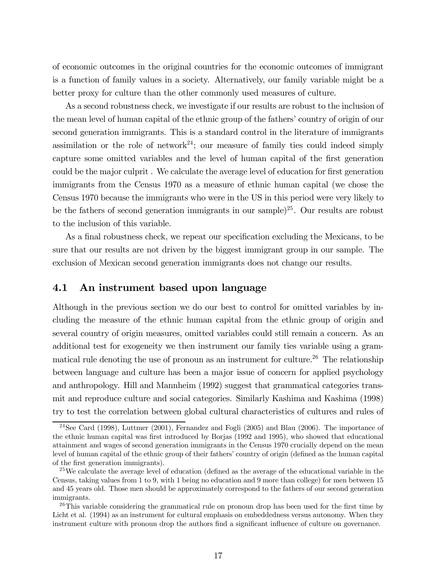of economic outcomes in the original countries for the economic outcomes of immigrant is a function of family values in a society. Alternatively, our family variable might be a better proxy for culture than the other commonly used measures of culture.

As a second robustness check, we investigate if our results are robust to the inclusion of the mean level of human capital of the ethnic group of the fathers' country of origin of our second generation immigrants. This is a standard control in the literature of immigrants assimilation or the role of network<sup>24</sup>; our measure of family ties could indeed simply capture some omitted variables and the level of human capital of the first generation could be the major culprit . We calculate the average level of education for first generation immigrants from the Census 1970 as a measure of ethnic human capital (we chose the Census 1970 because the immigrants who were in the US in this period were very likely to be the fathers of second generation immigrants in our sample)<sup>25</sup>. Our results are robust to the inclusion of this variable.

As a final robustness check, we repeat our specification excluding the Mexicans, to be sure that our results are not driven by the biggest immigrant group in our sample. The exclusion of Mexican second generation immigrants does not change our results.

### 4.1 An instrument based upon language

Although in the previous section we do our best to control for omitted variables by including the measure of the ethnic human capital from the ethnic group of origin and several country of origin measures, omitted variables could still remain a concern. As an additional test for exogeneity we then instrument our family ties variable using a grammatical rule denoting the use of pronoun as an instrument for culture.<sup>26</sup> The relationship between language and culture has been a major issue of concern for applied psychology and anthropology. Hill and Mannheim (1992) suggest that grammatical categories transmit and reproduce culture and social categories. Similarly Kashima and Kashima (1998) try to test the correlation between global cultural characteristics of cultures and rules of

 $^{24}$ See Card (1998), Luttmer (2001), Fernandez and Fogli (2005) and Blau (2006). The importance of the ethnic human capital was first introduced by Borjas (1992 and 1995), who showed that educational attainment and wages of second generation immigrants in the Census 1970 crucially depend on the mean level of human capital of the ethnic group of their fathers' country of origin (defined as the human capital of the first generation immigrants).

 $25$ We calculate the average level of education (defined as the average of the educational variable in the Census, taking values from 1 to 9, with 1 being no education and 9 more than college) for men between 15 and 45 years old. Those men should be approximately correspond to the fathers of our second generation immigrants.

 $^{26}$ This variable considering the grammatical rule on pronoun drop has been used for the first time by Licht et al. (1994) as an instrument for cultural emphasis on embeddedness versus autonomy. When they instrument culture with pronoun drop the authors find a significant influence of culture on governance.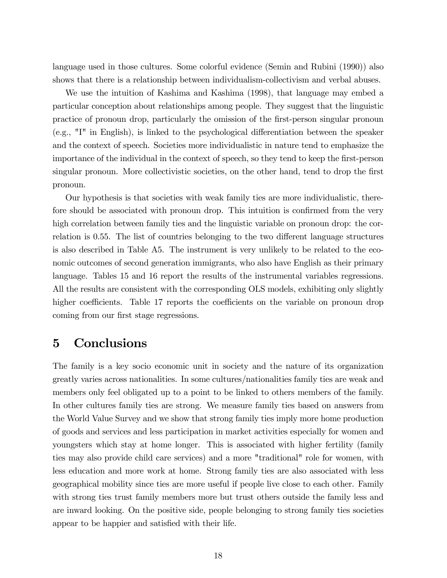language used in those cultures. Some colorful evidence (Semin and Rubini (1990)) also shows that there is a relationship between individualism-collectivism and verbal abuses.

We use the intuition of Kashima and Kashima (1998), that language may embed a particular conception about relationships among people. They suggest that the linguistic practice of pronoun drop, particularly the omission of the first-person singular pronoun (e.g., "I" in English), is linked to the psychological differentiation between the speaker and the context of speech. Societies more individualistic in nature tend to emphasize the importance of the individual in the context of speech, so they tend to keep the first-person singular pronoun. More collectivistic societies, on the other hand, tend to drop the first pronoun.

Our hypothesis is that societies with weak family ties are more individualistic, therefore should be associated with pronoun drop. This intuition is confirmed from the very high correlation between family ties and the linguistic variable on pronoun drop: the correlation is 0.55. The list of countries belonging to the two different language structures is also described in Table A5. The instrument is very unlikely to be related to the economic outcomes of second generation immigrants, who also have English as their primary language. Tables 15 and 16 report the results of the instrumental variables regressions. All the results are consistent with the corresponding OLS models, exhibiting only slightly higher coefficients. Table 17 reports the coefficients on the variable on pronoun drop coming from our first stage regressions.

# 5 Conclusions

The family is a key socio economic unit in society and the nature of its organization greatly varies across nationalities. In some cultures/nationalities family ties are weak and members only feel obligated up to a point to be linked to others members of the family. In other cultures family ties are strong. We measure family ties based on answers from the World Value Survey and we show that strong family ties imply more home production of goods and services and less participation in market activities especially for women and youngsters which stay at home longer. This is associated with higher fertility (family ties may also provide child care services) and a more "traditional" role for women, with less education and more work at home. Strong family ties are also associated with less geographical mobility since ties are more useful if people live close to each other. Family with strong ties trust family members more but trust others outside the family less and are inward looking. On the positive side, people belonging to strong family ties societies appear to be happier and satisfied with their life.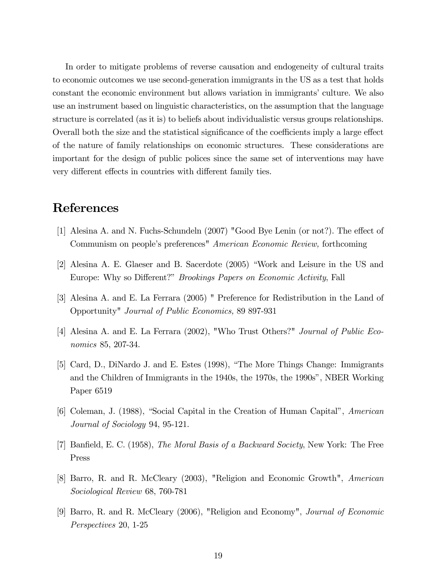In order to mitigate problems of reverse causation and endogeneity of cultural traits to economic outcomes we use second-generation immigrants in the US as a test that holds constant the economic environment but allows variation in immigrants' culture. We also use an instrument based on linguistic characteristics, on the assumption that the language structure is correlated (as it is) to beliefs about individualistic versus groups relationships. Overall both the size and the statistical significance of the coefficients imply a large effect of the nature of family relationships on economic structures. These considerations are important for the design of public polices since the same set of interventions may have very different effects in countries with different family ties.

# References

- [1] Alesina A. and N. Fuchs-Schundeln (2007) "Good Bye Lenin (or not?). The effect of Communism on people's preferences" American Economic Review, forthcoming
- [2] Alesina A. E. Glaeser and B. Sacerdote (2005) "Work and Leisure in the US and Europe: Why so Different?" Brookings Papers on Economic Activity, Fall
- [3] Alesina A. and E. La Ferrara (2005) " Preference for Redistribution in the Land of Opportunity" Journal of Public Economics, 89 897-931
- [4] Alesina A. and E. La Ferrara (2002), "Who Trust Others?" Journal of Public Economics 85, 207-34.
- [5] Card, D., DiNardo J. and E. Estes (1998), "The More Things Change: Immigrants and the Children of Immigrants in the 1940s, the 1970s, the 1990s", NBER Working Paper 6519
- [6] Coleman, J. (1988), "Social Capital in the Creation of Human Capital", American Journal of Sociology 94, 95-121.
- [7] Banfield, E. C. (1958), The Moral Basis of a Backward Society, New York: The Free Press
- [8] Barro, R. and R. McCleary (2003), "Religion and Economic Growth", American Sociological Review 68, 760-781
- [9] Barro, R. and R. McCleary (2006), "Religion and Economy", Journal of Economic Perspectives 20, 1-25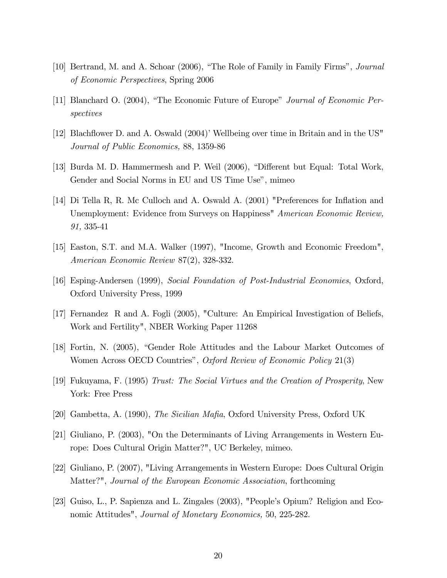- [10] Bertrand, M. and A. Schoar (2006), "The Role of Family in Family Firms", Journal of Economic Perspectives, Spring 2006
- [11] Blanchard O. (2004), "The Economic Future of Europe" Journal of Economic Perspectives
- [12] Blachflower D. and A. Oswald (2004)' Wellbeing over time in Britain and in the US" Journal of Public Economics, 88, 1359-86
- [13] Burda M. D. Hammermesh and P. Weil (2006), "Different but Equal: Total Work, Gender and Social Norms in EU and US Time Use", mimeo
- [14] Di Tella R, R. Mc Culloch and A. Oswald A. (2001) "Preferences for Inflation and Unemployment: Evidence from Surveys on Happiness<sup>"</sup> American Economic Review, 91, 335-41
- [15] Easton, S.T. and M.A. Walker (1997), "Income, Growth and Economic Freedom", American Economic Review 87(2), 328-332.
- [16] Esping-Andersen (1999), Social Foundation of Post-Industrial Economies, Oxford, Oxford University Press, 1999
- [17] Fernandez R and A. Fogli (2005), "Culture: An Empirical Investigation of Beliefs, Work and Fertility", NBER Working Paper 11268
- [18] Fortin, N. (2005), "Gender Role Attitudes and the Labour Market Outcomes of Women Across OECD Countries", Oxford Review of Economic Policy 21(3)
- [19] Fukuyama, F. (1995) Trust: The Social Virtues and the Creation of Prosperity, New York: Free Press
- [20] Gambetta, A. (1990), The Sicilian Mafia, Oxford University Press, Oxford UK
- [21] Giuliano, P. (2003), "On the Determinants of Living Arrangements in Western Europe: Does Cultural Origin Matter?", UC Berkeley, mimeo.
- [22] Giuliano, P. (2007), "Living Arrangements in Western Europe: Does Cultural Origin Matter?", Journal of the European Economic Association, forthcoming
- [23] Guiso, L., P. Sapienza and L. Zingales (2003), "People's Opium? Religion and Economic Attitudes", Journal of Monetary Economics, 50, 225-282.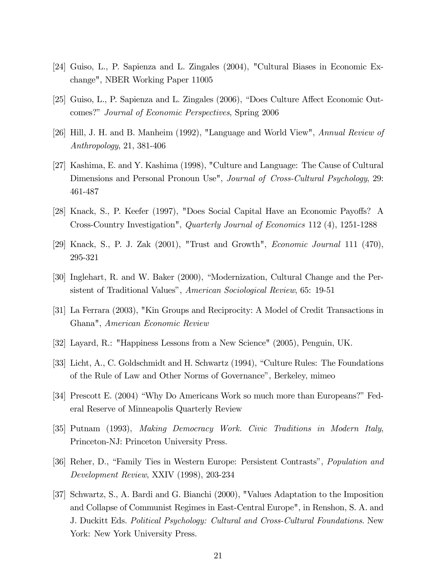- [24] Guiso, L., P. Sapienza and L. Zingales (2004), "Cultural Biases in Economic Exchange", NBER Working Paper 11005
- [25] Guiso, L., P. Sapienza and L. Zingales (2006), "Does Culture Affect Economic Outcomes?" Journal of Economic Perspectives, Spring 2006
- [26] Hill, J. H. and B. Manheim (1992), "Language and World View", Annual Review of Anthropology, 21, 381-406
- [27] Kashima, E. and Y. Kashima (1998), "Culture and Language: The Cause of Cultural Dimensions and Personal Pronoun Use", *Journal of Cross-Cultural Psychology*, 29: 461-487
- [28] Knack, S., P. Keefer (1997), "Does Social Capital Have an Economic Payoffs? A Cross-Country Investigation", Quarterly Journal of Economics 112 (4), 1251-1288
- [29] Knack, S., P. J. Zak (2001), "Trust and Growth", Economic Journal 111 (470), 295-321
- [30] Inglehart, R. and W. Baker (2000), "Modernization, Cultural Change and the Persistent of Traditional Values", American Sociological Review, 65: 19-51
- [31] La Ferrara (2003), "Kin Groups and Reciprocity: A Model of Credit Transactions in Ghana", American Economic Review
- [32] Layard, R.: "Happiness Lessons from a New Science" (2005), Penguin, UK.
- [33] Licht, A., C. Goldschmidt and H. Schwartz (1994), "Culture Rules: The Foundations of the Rule of Law and Other Norms of Governance", Berkeley, mimeo
- [34] Prescott E. (2004) "Why Do Americans Work so much more than Europeans?" Federal Reserve of Minneapolis Quarterly Review
- [35] Putnam (1993), Making Democracy Work. Civic Traditions in Modern Italy, Princeton-NJ: Princeton University Press.
- [36] Reher, D., "Family Ties in Western Europe: Persistent Contrasts", Population and Development Review, XXIV (1998), 203-234
- [37] Schwartz, S., A. Bardi and G. Bianchi (2000), "Values Adaptation to the Imposition and Collapse of Communist Regimes in East-Central Europe", in Renshon, S. A. and J. Duckitt Eds. Political Psychology: Cultural and Cross-Cultural Foundations. New York: New York University Press.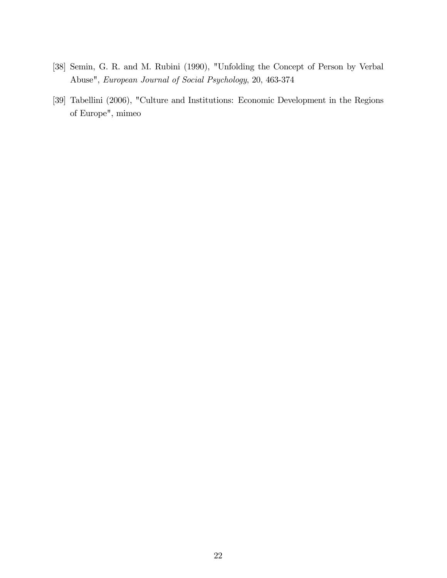- [38] Semin, G. R. and M. Rubini (1990), "Unfolding the Concept of Person by Verbal Abuse", European Journal of Social Psychology, 20, 463-374
- [39] Tabellini (2006), "Culture and Institutions: Economic Development in the Regions of Europe", mimeo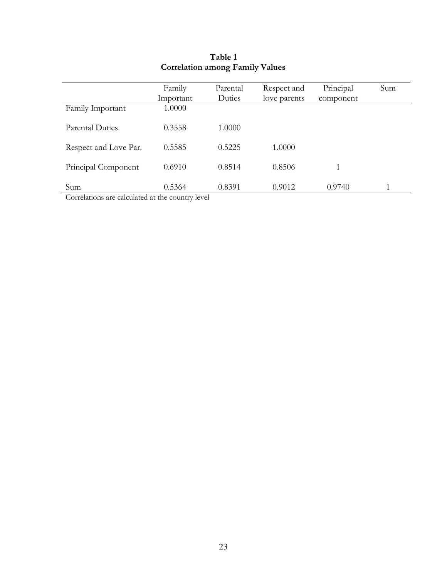| Family Important      | Family<br>Important<br>1.0000 | Parental<br>Duties | Respect and<br>love parents | Principal<br>component | Sum |
|-----------------------|-------------------------------|--------------------|-----------------------------|------------------------|-----|
| Parental Duties       | 0.3558                        | 1.0000             |                             |                        |     |
| Respect and Love Par. | 0.5585                        | 0.5225             | 1.0000                      |                        |     |
| Principal Component   | 0.6910                        | 0.8514             | 0.8506                      |                        |     |
| Sum                   | 0.5364                        | 0.8391             | 0.9012                      | 0.9740                 |     |

# Table 1 Correlation among Family Values

Correlations are calculated at the country level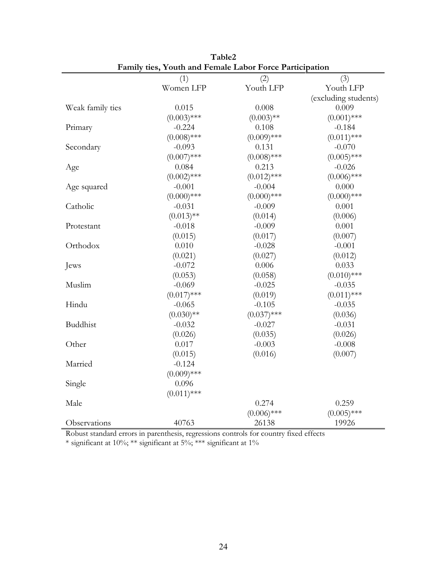|                  | (1)           | oree + memphesion<br>(2) | (3)                  |
|------------------|---------------|--------------------------|----------------------|
|                  | Women LFP     | Youth LFP                | Youth LFP            |
|                  |               |                          | (excluding students) |
| Weak family ties | 0.015         | 0.008                    | 0.009                |
|                  | $(0.003)$ *** | $(0.003)$ **             | $(0.001)$ ***        |
| Primary          | $-0.224$      | 0.108                    | $-0.184$             |
|                  | $(0.008)$ *** | $(0.009)$ ***            | $(0.011)$ ***        |
|                  | $-0.093$      | 0.131                    | $-0.070$             |
| Secondary        |               |                          |                      |
|                  | $(0.007)$ *** | $(0.008)$ ***            | $(0.005)$ ***        |
| Age              | 0.084         | 0.213                    | $-0.026$             |
|                  | $(0.002)$ *** | $(0.012)$ ***            | $(0.006)$ ***        |
| Age squared      | $-0.001$      | $-0.004$                 | 0.000                |
|                  | $(0.000)$ *** | $(0.000)$ ***            | $(0.000)$ ***        |
| Catholic         | $-0.031$      | $-0.009$                 | 0.001                |
|                  | $(0.013)$ **  | (0.014)                  | (0.006)              |
| Protestant       | $-0.018$      | $-0.009$                 | 0.001                |
|                  | (0.015)       | (0.017)                  | (0.007)              |
| Orthodox         | 0.010         | $-0.028$                 | $-0.001$             |
|                  | (0.021)       | (0.027)                  | (0.012)              |
| Jews             | $-0.072$      | 0.006                    | 0.033                |
|                  | (0.053)       | (0.058)                  | $(0.010)$ ***        |
| Muslim           | $-0.069$      | $-0.025$                 | $-0.035$             |
|                  | $(0.017)$ *** | (0.019)                  | $(0.011)$ ***        |
| Hindu            | $-0.065$      | $-0.105$                 | $-0.035$             |
|                  | $(0.030)$ **  | $(0.037)$ ***            | (0.036)              |
| <b>Buddhist</b>  | $-0.032$      | $-0.027$                 | $-0.031$             |
|                  | (0.026)       | (0.035)                  | (0.026)              |
| Other            | 0.017         | $-0.003$                 | $-0.008$             |
|                  | (0.015)       | (0.016)                  | (0.007)              |
| Married          | $-0.124$      |                          |                      |
|                  | $(0.009)$ *** |                          |                      |
| Single           | 0.096         |                          |                      |
|                  | $(0.011)$ *** |                          |                      |
| Male             |               | 0.274                    | 0.259                |
|                  |               | $(0.006)$ ***            | $(0.005)$ ***        |
| Observations     | 40763         | 26138                    | 19926                |

Table2 Family ties, Youth and Female Labor Force Participation

Robust standard errors in parenthesis, regressions controls for country fixed effects \* significant at 10%; \*\* significant at 5%; \*\*\* significant at 1%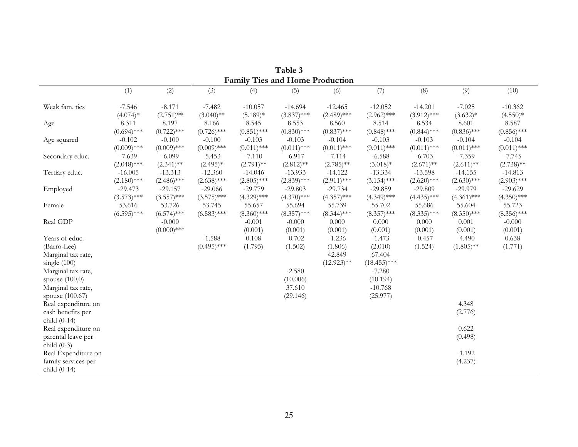|                     |               |               |               | <b>Family Ties and Home Production</b> |               |               |                |               |               |               |
|---------------------|---------------|---------------|---------------|----------------------------------------|---------------|---------------|----------------|---------------|---------------|---------------|
|                     | (1)           | (2)           | (3)           | (4)                                    | (5)           | (6)           | (7)            | (8)           | (9)           | (10)          |
| Weak fam. ties      | $-7.546$      | $-8.171$      | $-7.482$      | $-10.057$                              | $-14.694$     | $-12.465$     | $-12.052$      | $-14.201$     | $-7.025$      | $-10.362$     |
|                     | $(4.074)*$    | $(2.751)$ **  | $(3.040)$ **  | $(5.189)*$                             | $(3.837)$ *** | $(2.489)$ *** | $(2.962)$ ***  | $(3.912)$ *** | $(3.632)*$    | $(4.550)*$    |
| Age                 | 8.311         | 8.197         | 8.166         | 8.545                                  | 8.553         | 8.560         | 8.514          | 8.534         | 8.601         | 8.587         |
|                     | $(0.694)$ *** | $(0.722)$ *** | $(0.726)$ *** | $(0.851)$ ***                          | $(0.830)$ *** | $(0.837)$ *** | $(0.848)$ ***  | $(0.844)$ *** | $(0.836)$ *** | $(0.856)$ *** |
| Age squared         | $-0.102$      | $-0.100$      | $-0.100$      | $-0.103$                               | $-0.103$      | $-0.104$      | $-0.103$       | $-0.103$      | $-0.104$      | $-0.104$      |
|                     | $(0.009)$ *** | $(0.009)$ *** | $(0.009)$ *** | $(0.011)$ ***                          | $(0.011)$ *** | $(0.011)$ *** | $(0.011)$ ***  | $(0.011)$ *** | $(0.011)$ *** | $(0.011)$ *** |
| Secondary educ.     | $-7.639$      | $-6.099$      | $-5.453$      | $-7.110$                               | $-6.917$      | $-7.114$      | $-6.588$       | $-6.703$      | $-7.359$      | $-7.745$      |
|                     | $(2.048)$ *** | $(2.341)$ **  | $(2.495)*$    | $(2.791)$ **                           | $(2.812)$ **  | $(2.785)$ **  | $(3.018)*$     | $(2.671)$ **  | $(2.611)$ **  | $(2.738)$ **  |
| Tertiary educ.      | $-16.005$     | $-13.313$     | $-12.360$     | $-14.046$                              | $-13.933$     | $-14.122$     | $-13.334$      | $-13.598$     | $-14.155$     | $-14.813$     |
|                     | $(2.180)$ *** | $(2.486)$ *** | $(2.638)$ *** | $(2.805)$ ***                          | $(2.839)$ *** | $(2.911)$ *** | $(3.154)$ ***  | $(2.620)$ *** | $(2.630)$ *** | $(2.903)$ *** |
| Employed            | $-29.473$     | $-29.157$     | $-29.066$     | $-29.779$                              | $-29.803$     | $-29.734$     | $-29.859$      | $-29.809$     | $-29.979$     | $-29.629$     |
|                     | $(3.573)$ *** | $(3.557)$ *** | $(3.575)$ *** | $(4.329)$ ***                          | $(4.370)$ *** | $(4.357)$ *** | $(4.349)$ ***  | $(4.435)$ *** | $(4.361)$ *** | $(4.350)$ *** |
| Female              | 53.616        | 53.726        | 53.745        | 55.657                                 | 55.694        | 55.739        | 55.702         | 55.686        | 55.604        | 55.723        |
|                     | $(6.595)$ *** | $(6.574)$ *** | $(6.583)$ *** | $(8.360)$ ***                          | $(8.357)$ *** | $(8.344)$ *** | $(8.357)$ ***  | $(8.335)$ *** | $(8.350)$ *** | $(8.356)$ *** |
| Real GDP            |               | $-0.000$      |               | $-0.001$                               | $-0.000$      | 0.000         | 0.000          | $0.000\,$     | 0.001         | $-0.000$      |
|                     |               | $(0.000)$ *** |               | (0.001)                                | (0.001)       | (0.001)       | (0.001)        | (0.001)       | (0.001)       | (0.001)       |
| Years of educ.      |               |               | $-1.588$      | 0.108                                  | $-0.702$      | $-1.236$      | $-1.473$       | $-0.457$      | $-4.490$      | 0.638         |
| (Barro-Lee)         |               |               | $(0.495)$ *** | (1.795)                                | (1.502)       | (1.806)       | (2.010)        | (1.524)       | $(1.805)$ **  | (1.771)       |
| Marginal tax rate,  |               |               |               |                                        |               | 42.849        | 67.404         |               |               |               |
| single $(100)$      |               |               |               |                                        |               | $(12.923)$ ** | $(18.455)$ *** |               |               |               |
| Marginal tax rate,  |               |               |               |                                        | $-2.580$      |               | $-7.280$       |               |               |               |
| spouse $(100,0)$    |               |               |               |                                        | (10.006)      |               | (10.194)       |               |               |               |
| Marginal tax rate,  |               |               |               |                                        | 37.610        |               | $-10.768$      |               |               |               |
| spouse (100,67)     |               |               |               |                                        | (29.146)      |               | (25.977)       |               |               |               |
| Real expenditure on |               |               |               |                                        |               |               |                |               | 4.348         |               |
| cash benefits per   |               |               |               |                                        |               |               |                |               | (2.776)       |               |
| child $(0-14)$      |               |               |               |                                        |               |               |                |               |               |               |
| Real expenditure on |               |               |               |                                        |               |               |                |               | 0.622         |               |
| parental leave per  |               |               |               |                                        |               |               |                |               | (0.498)       |               |
| child $(0-3)$       |               |               |               |                                        |               |               |                |               |               |               |
| Real Expenditure on |               |               |               |                                        |               |               |                |               | $-1.192$      |               |
| family services per |               |               |               |                                        |               |               |                |               | (4.237)       |               |
| child $(0-14)$      |               |               |               |                                        |               |               |                |               |               |               |

Table 3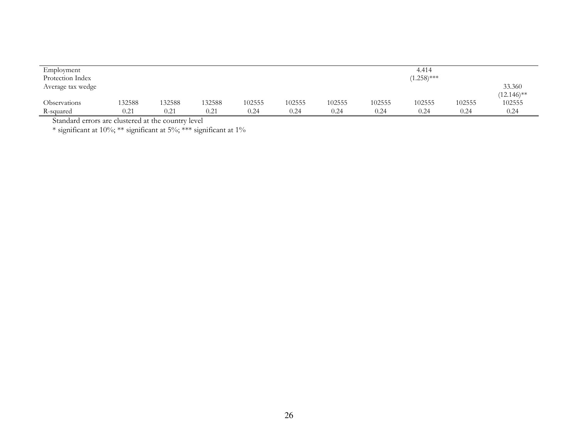| Employment<br>Protection Index |        |        |        |        |        |        |        | 4.414<br>$(1.258)$ *** |        |                         |
|--------------------------------|--------|--------|--------|--------|--------|--------|--------|------------------------|--------|-------------------------|
| Average tax wedge              |        |        |        |        |        |        |        |                        |        | 33.360<br>$(12.146)$ ** |
| Observations                   | 132588 | 132588 | 132588 | 102555 | 102555 | 102555 | 102555 | 102555                 | 102555 | 102555                  |
| R-squared                      | 0.21   | 0.21   | 0.21   | 0.24   | 0.24   | 0.24   | 0.24   | 0.24                   | 0.24   | 0.24                    |

Standard errors are clustered at the country level \* significant at 10%; \*\* significant at 5%; \*\*\* significant at 1%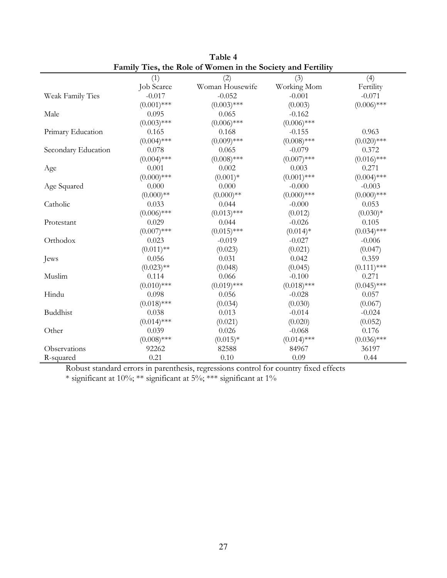|                     | т анниу<br>(1) | These the trace of women in the society and I criming<br>(2) | (3)           | (4)           |
|---------------------|----------------|--------------------------------------------------------------|---------------|---------------|
|                     | Job Scarce     | Woman Housewife                                              | Working Mom   | Fertility     |
| Weak Family Ties    | $-0.017$       | $-0.052$                                                     | $-0.001$      | $-0.071$      |
|                     | $(0.001)$ ***  | $(0.003)$ ***                                                | (0.003)       | $(0.006)$ *** |
| Male                | 0.095          | 0.065                                                        | $-0.162$      |               |
|                     | $(0.003)$ ***  | $(0.006)$ ***                                                | $(0.006)$ *** |               |
| Primary Education   | 0.165          | 0.168                                                        | $-0.155$      | 0.963         |
|                     | $(0.004)$ ***  | $(0.009)$ ***                                                | $(0.008)$ *** | $(0.020)$ *** |
| Secondary Education | 0.078          | 0.065                                                        | $-0.079$      | 0.372         |
|                     | $(0.004)$ ***  | $(0.008)$ ***                                                | $(0.007)$ *** | $(0.016)$ *** |
| Age                 | 0.001          | 0.002                                                        | 0.003         | 0.271         |
|                     | $(0.000)$ ***  | $(0.001)*$                                                   | $(0.001)$ *** | $(0.004)$ *** |
| Age Squared         | 0.000          | 0.000                                                        | $-0.000$      | $-0.003$      |
|                     | $(0.000)**$    | $(0.000)**$                                                  | $(0.000)$ *** | $(0.000)$ *** |
| Catholic            | 0.033          | 0.044                                                        | $-0.000$      | 0.053         |
|                     | $(0.006)$ ***  | $(0.013)$ ***                                                | (0.012)       | $(0.030)*$    |
| Protestant          | 0.029          | 0.044                                                        | $-0.026$      | 0.105         |
|                     | $(0.007)$ ***  | $(0.015)$ ***                                                | $(0.014)*$    | $(0.034)$ *** |
| Orthodox            | 0.023          | $-0.019$                                                     | $-0.027$      | $-0.006$      |
|                     | $(0.011)$ **   | (0.023)                                                      | (0.021)       | (0.047)       |
| Jews                | 0.056          | 0.031                                                        | 0.042         | 0.359         |
|                     | $(0.023)$ **   | (0.048)                                                      | (0.045)       | $(0.111)$ *** |
| Muslim              | 0.114          | 0.066                                                        | $-0.100$      | 0.271         |
|                     | $(0.010)$ ***  | $(0.019)$ ***                                                | $(0.018)$ *** | $(0.045)$ *** |
| Hindu               | 0.098          | 0.056                                                        | $-0.028$      | 0.057         |
|                     | $(0.018)$ ***  | (0.034)                                                      | (0.030)       | (0.067)       |
| Buddhist            | 0.038          | 0.013                                                        | $-0.014$      | $-0.024$      |
|                     | $(0.014)$ ***  | (0.021)                                                      | (0.020)       | (0.052)       |
| Other               | 0.039          | 0.026                                                        | $-0.068$      | 0.176         |
|                     | $(0.008)$ ***  | $(0.015)*$                                                   | $(0.014)$ *** | $(0.036)$ *** |
| Observations        | 92262          | 82588                                                        | 84967         | 36197         |
| R-squared           | 0.21           | 0.10                                                         | 0.09          | 0.44          |

Table 4 Family Ties, the Role of Women in the Society and Fertility

Robust standard errors in parenthesis, regressions control for country fixed effects

\* significant at 10%; \*\* significant at 5%; \*\*\* significant at 1%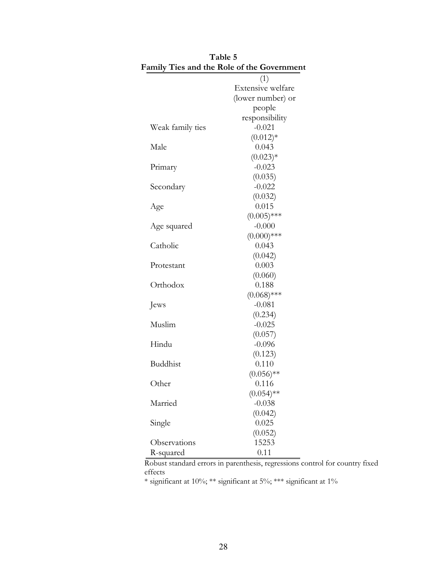| amily Ties and the Kole of the Governmen |                          |
|------------------------------------------|--------------------------|
|                                          | (1)                      |
|                                          | Extensive welfare        |
|                                          | (lower number) or        |
|                                          | people                   |
|                                          | responsibility           |
| Weak family ties                         | $-0.021$                 |
|                                          | $(0.012)*$               |
| Male                                     | 0.043                    |
|                                          | $(0.023)*$               |
| Primary                                  | $-0.023$                 |
|                                          | (0.035)                  |
| Secondary                                | $-0.022$                 |
|                                          | (0.032)                  |
| Age                                      | 0.015                    |
|                                          | $(0.005)$ ***            |
| Age squared                              | $-0.000$                 |
|                                          | $(0.000)$ ***            |
| Catholic                                 | 0.043                    |
|                                          | (0.042)                  |
| Protestant                               | 0.003                    |
|                                          | (0.060)                  |
| Orthodox                                 | 0.188                    |
|                                          | $(0.068)$ ***            |
| Jews                                     | $-0.081$                 |
|                                          | (0.234)                  |
| Muslim                                   | $-0.025$                 |
|                                          | (0.057)                  |
| Hindu                                    | $-0.096$                 |
|                                          | (0.123)                  |
| Buddhist                                 | 0.110                    |
|                                          | $(0.056)$ **<br>0.116    |
| Other                                    |                          |
| Married                                  | $(0.054)$ **<br>$-0.038$ |
|                                          | (0.042)                  |
| Single                                   | 0.025                    |
|                                          | (0.052)                  |
| Observations                             | 15253                    |
| R-squared                                | 0.11                     |
|                                          |                          |

|  | Table 5 |                                            |  |
|--|---------|--------------------------------------------|--|
|  |         | Family Ties and the Role of the Government |  |
|  |         |                                            |  |

Robust standard errors in parenthesis, regressions control for country fixed effects

 $\hspace{0.1mm}^*$  significant at 10%; \*\*\* significant at 1%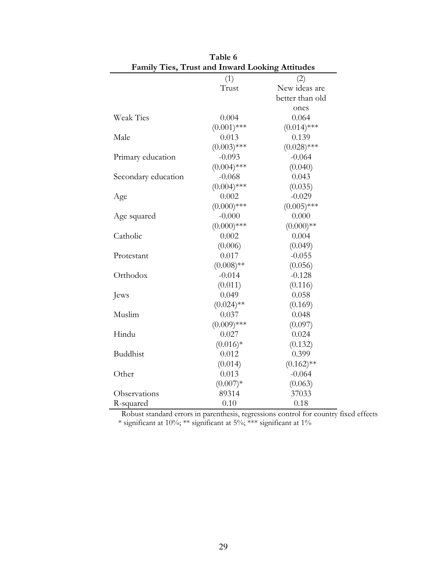|                     | Family Ties, Trust and Inward Looking Attitudes |                 |  |  |  |  |  |
|---------------------|-------------------------------------------------|-----------------|--|--|--|--|--|
|                     | (1)                                             | (2)             |  |  |  |  |  |
|                     | Trust                                           | New ideas are   |  |  |  |  |  |
|                     |                                                 | better than old |  |  |  |  |  |
|                     |                                                 | ones            |  |  |  |  |  |
| <b>Weak Ties</b>    | 0.004                                           | 0.064           |  |  |  |  |  |
|                     | $(0.001)$ ***                                   | $(0.014)$ ***   |  |  |  |  |  |
| Male                | 0.013                                           | 0.139           |  |  |  |  |  |
|                     | $(0.003)$ ***                                   | $(0.028)$ ***   |  |  |  |  |  |
| Primary education   | $-0.093$                                        | $-0.064$        |  |  |  |  |  |
|                     | $(0.004)$ ***                                   | (0.040)         |  |  |  |  |  |
| Secondary education | $-0.068$                                        | 0.043           |  |  |  |  |  |
|                     | $(0.004)$ ***                                   | (0.035)         |  |  |  |  |  |
| Age                 | 0.002                                           | $-0.029$        |  |  |  |  |  |
|                     | $(0.000)$ ***                                   | $(0.005)$ ***   |  |  |  |  |  |
| Age squared         | $-0.000$                                        | 0.000           |  |  |  |  |  |
|                     | $(0.000)$ ***                                   | $(0.000)**$     |  |  |  |  |  |
| Catholic            | 0.002                                           | 0.004           |  |  |  |  |  |
|                     | (0.006)                                         | (0.049)         |  |  |  |  |  |
| Protestant          | 0.017                                           | $-0.055$        |  |  |  |  |  |
|                     | $(0.008)$ **                                    | (0.056)         |  |  |  |  |  |
| Orthodox            | $-0.014$                                        | $-0.128$        |  |  |  |  |  |
|                     | (0.011)                                         | (0.116)         |  |  |  |  |  |
| Jews                | 0.049                                           | 0.058           |  |  |  |  |  |
|                     | $(0.024)$ **                                    | (0.169)         |  |  |  |  |  |
| Muslim              | 0.037                                           | 0.048           |  |  |  |  |  |
|                     | $(0.009)$ ***                                   | (0.097)         |  |  |  |  |  |
| Hindu               | 0.027                                           | 0.024           |  |  |  |  |  |
|                     | $(0.016)*$                                      | (0.132)         |  |  |  |  |  |
| <b>Buddhist</b>     | 0.012                                           | 0.399           |  |  |  |  |  |
|                     | (0.014)                                         | $(0.162)$ **    |  |  |  |  |  |
| Other               | 0.013                                           | $-0.064$        |  |  |  |  |  |
|                     | $(0.007)*$                                      | (0.063)         |  |  |  |  |  |
| Observations        | 89314                                           | 37033           |  |  |  |  |  |
| R-squared           | 0.10                                            | 0.18            |  |  |  |  |  |

| Table 6                                                |
|--------------------------------------------------------|
| <b>Family Ties, Trust and Inward Looking Attitudes</b> |

Robust standard errors in parenthesis, regressions control for country fixed effects \* significant at 10%; \*\* significant at 5%; \*\*\* significant at 1%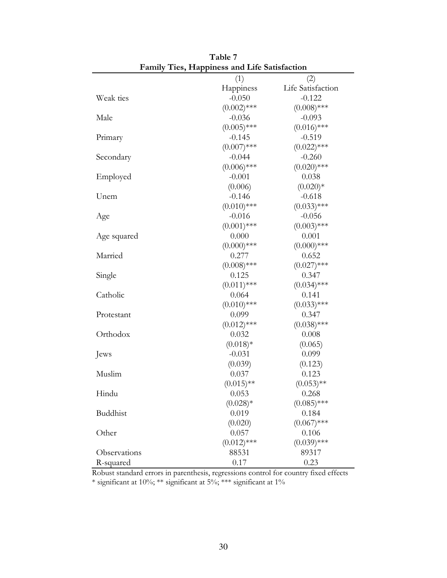|                 | Pannly Ties, Happiness and Life Sausiacuon |                   |
|-----------------|--------------------------------------------|-------------------|
|                 | (1)                                        | (2)               |
|                 | Happiness                                  | Life Satisfaction |
| Weak ties       | $-0.050$                                   | $-0.122$          |
|                 | $(0.002)$ ***                              | $(0.008)$ ***     |
| Male            | $-0.036$                                   | $-0.093$          |
|                 | $(0.005)$ ***                              | $(0.016)$ ***     |
| Primary         | $-0.145$                                   | $-0.519$          |
|                 | $(0.007)$ ***                              | $(0.022)$ ***     |
| Secondary       | $-0.044$                                   | $-0.260$          |
|                 | $(0.006)$ ***                              | $(0.020)$ ***     |
| Employed        | $-0.001$                                   | 0.038             |
|                 | (0.006)                                    | $(0.020)*$        |
| Unem            | $-0.146$                                   | $-0.618$          |
|                 | $(0.010)$ ***                              | $(0.033)$ ***     |
| Age             | $-0.016$                                   | $-0.056$          |
|                 | $(0.001)$ ***                              | $(0.003)$ ***     |
| Age squared     | 0.000                                      | 0.001             |
|                 | $(0.000)$ ***                              | $(0.000)$ ***     |
| Married         | 0.277                                      | 0.652             |
|                 | $(0.008)$ ***                              | $(0.027)$ ***     |
| Single          | 0.125                                      | 0.347             |
|                 | $(0.011)$ ***                              | $(0.034)$ ***     |
| Catholic        | 0.064                                      | 0.141             |
|                 | $(0.010)$ ***                              | $(0.033)$ ***     |
| Protestant      | 0.099                                      | 0.347             |
|                 | $(0.012)$ ***                              | $(0.038)$ ***     |
| Orthodox        | 0.032                                      | 0.008             |
|                 | $(0.018)*$                                 | (0.065)           |
| Jews            | $-0.031$                                   | 0.099             |
|                 | (0.039)                                    | (0.123)           |
| Muslim          | 0.037                                      | 0.123             |
|                 | $(0.015)$ **                               | $(0.053)$ **      |
| Hindu           | 0.053                                      | 0.268             |
|                 | $(0.028)*$                                 | $(0.085)$ ***     |
| <b>Buddhist</b> | 0.019                                      | 0.184             |
|                 | (0.020)                                    | $(0.067)$ ***     |
| Other           | 0.057                                      | 0.106             |
|                 | $(0.012)$ ***                              | $(0.039)$ ***     |
| Observations    | 88531                                      | 89317             |
| R-squared       | 0.17                                       | 0.23              |

Table 7 Family Ties, Happiness and Life Satisfaction

Robust standard errors in parenthesis, regressions control for country fixed effects \* significant at 10%; \*\* significant at 5%; \*\*\* significant at 1%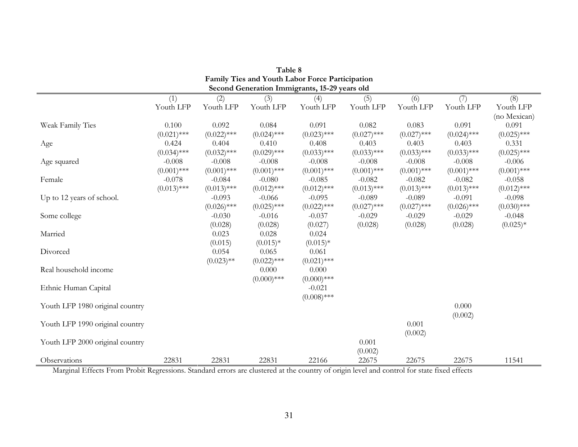|                                 |               |               |               | Family Ties and Youth Labor Force Participation |               |               |               |               |
|---------------------------------|---------------|---------------|---------------|-------------------------------------------------|---------------|---------------|---------------|---------------|
|                                 |               |               |               | Second Generation Immigrants, 15-29 years old   |               |               |               |               |
|                                 | (1)           | (2)           | (3)           | (4)                                             | (5)           | (6)           | (7)           | (8)           |
|                                 | Youth LFP     | Youth LFP     | Youth LFP     | Youth LFP                                       | Youth LFP     | Youth LFP     | Youth LFP     | Youth LFP     |
|                                 |               |               |               |                                                 |               |               |               | (no Mexican)  |
| Weak Family Ties                | 0.100         | 0.092         | 0.084         | 0.091                                           | 0.082         | 0.083         | 0.091         | 0.091         |
|                                 | $(0.021)$ *** | $(0.022)$ *** | $(0.024)$ *** | $(0.023)$ ***                                   | $(0.027)$ *** | $(0.027)$ *** | $(0.024)$ *** | $(0.025)$ *** |
| Age                             | 0.424         | 0.404         | 0.410         | 0.408                                           | 0.403         | 0.403         | 0.403         | 0.331         |
|                                 | $(0.034)$ *** | $(0.032)$ *** | $(0.029)$ *** | $(0.033)$ ***                                   | $(0.033)$ *** | $(0.033)$ *** | $(0.033)$ *** | $(0.025)$ *** |
| Age squared                     | $-0.008$      | $-0.008$      | $-0.008$      | $-0.008$                                        | $-0.008$      | $-0.008$      | $-0.008$      | $-0.006$      |
|                                 | $(0.001)$ *** | $(0.001)$ *** | $(0.001)$ *** | $(0.001)$ ***                                   | $(0.001)$ *** | $(0.001)$ *** | $(0.001)$ *** | $(0.001)$ *** |
| Female                          | $-0.078$      | $-0.084$      | $-0.080$      | $-0.085$                                        | $-0.082$      | $-0.082$      | $-0.082$      | $-0.058$      |
|                                 | $(0.013)$ *** | $(0.013)$ *** | $(0.012)$ *** | $(0.012)$ ***                                   | $(0.013)$ *** | $(0.013)$ *** | $(0.013)$ *** | $(0.012)$ *** |
| Up to 12 years of school.       |               | $-0.093$      | $-0.066$      | $-0.095$                                        | $-0.089$      | $-0.089$      | $-0.091$      | $-0.098$      |
|                                 |               | $(0.026)$ *** | $(0.025)$ *** | $(0.022)$ ***                                   | $(0.027)$ *** | $(0.027)$ *** | $(0.026)$ *** | $(0.030)$ *** |
| Some college                    |               | $-0.030$      | $-0.016$      | $-0.037$                                        | $-0.029$      | $-0.029$      | $-0.029$      | $-0.048$      |
|                                 |               | (0.028)       | (0.028)       | (0.027)                                         | (0.028)       | (0.028)       | (0.028)       | $(0.025)*$    |
| Married                         |               | 0.023         | 0.028         | 0.024                                           |               |               |               |               |
|                                 |               | (0.015)       | $(0.015)*$    | $(0.015)*$                                      |               |               |               |               |
| Divorced                        |               | 0.054         | 0.065         | 0.061                                           |               |               |               |               |
|                                 |               | $(0.023)$ **  | $(0.022)$ *** | $(0.021)$ ***                                   |               |               |               |               |
| Real household income           |               |               | 0.000         | 0.000                                           |               |               |               |               |
|                                 |               |               | $(0.000)$ *** | $(0.000)$ ***                                   |               |               |               |               |
| Ethnic Human Capital            |               |               |               | $-0.021$                                        |               |               |               |               |
|                                 |               |               |               | $(0.008)$ ***                                   |               |               |               |               |
| Youth LFP 1980 original country |               |               |               |                                                 |               |               | 0.000         |               |
|                                 |               |               |               |                                                 |               |               | (0.002)       |               |
| Youth LFP 1990 original country |               |               |               |                                                 |               | 0.001         |               |               |
|                                 |               |               |               |                                                 |               | (0.002)       |               |               |
| Youth LFP 2000 original country |               |               |               |                                                 | 0.001         |               |               |               |
|                                 |               |               |               |                                                 | (0.002)       |               |               |               |
| Observations                    | 22831         | 22831         | 22831         | 22166                                           | 22675         | 22675         | 22675         | 11541         |

| Table 8                                         |
|-------------------------------------------------|
| Family Ties and Youth Labor Force Participation |
| Second Generation Immigrants, 15-29 years old   |

Marginal Effects From Probit Regressions. Standard errors are clustered at the country of origin level and control for state fixed effects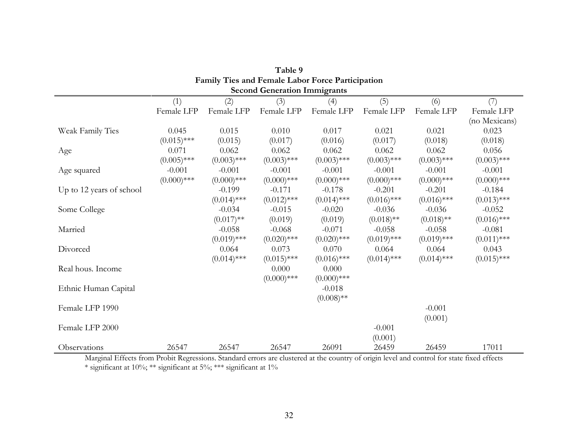| <b>Family Ties and Female Labor Force Participation</b> |               |               |                                     |               |               |               |               |
|---------------------------------------------------------|---------------|---------------|-------------------------------------|---------------|---------------|---------------|---------------|
|                                                         |               |               | <b>Second Generation Immigrants</b> |               |               |               |               |
|                                                         | (1)           | (2)           | (3)                                 | (4)           | (5)           | (6)           | (7)           |
|                                                         | Female LFP    | Female LFP    | Female LFP                          | Female LFP    | Female LFP    | Female LFP    | Female LFP    |
|                                                         |               |               |                                     |               |               |               | (no Mexicans) |
| Weak Family Ties                                        | 0.045         | 0.015         | 0.010                               | 0.017         | 0.021         | 0.021         | 0.023         |
|                                                         | $(0.015)$ *** | (0.015)       | (0.017)                             | (0.016)       | (0.017)       | (0.018)       | (0.018)       |
| Age                                                     | 0.071         | 0.062         | 0.062                               | 0.062         | 0.062         | 0.062         | 0.056         |
|                                                         | $(0.005)$ *** | $(0.003)$ *** | $(0.003)$ ***                       | $(0.003)$ *** | $(0.003)$ *** | $(0.003)$ *** | $(0.003)$ *** |
| Age squared                                             | $-0.001$      | $-0.001$      | $-0.001$                            | $-0.001$      | $-0.001$      | $-0.001$      | $-0.001$      |
|                                                         | $(0.000)$ *** | $(0.000)$ *** | $(0.000)$ ***                       | $(0.000)$ *** | $(0.000)$ *** | $(0.000)$ *** | $(0.000)$ *** |
| Up to 12 years of school                                |               | $-0.199$      | $-0.171$                            | $-0.178$      | $-0.201$      | $-0.201$      | $-0.184$      |
|                                                         |               | $(0.014)$ *** | $(0.012)$ ***                       | $(0.014)$ *** | $(0.016)$ *** | $(0.016)$ *** | $(0.013)$ *** |
| Some College                                            |               | $-0.034$      | $-0.015$                            | $-0.020$      | $-0.036$      | $-0.036$      | $-0.052$      |
|                                                         |               | $(0.017)$ **  | (0.019)                             | (0.019)       | $(0.018)$ **  | $(0.018)$ **  | $(0.016)$ *** |
| Married                                                 |               | $-0.058$      | $-0.068$                            | $-0.071$      | $-0.058$      | $-0.058$      | $-0.081$      |
|                                                         |               | $(0.019)$ *** | $(0.020)$ ***                       | $(0.020)$ *** | $(0.019)$ *** | $(0.019)$ *** | $(0.011)$ *** |
| Divorced                                                |               | 0.064         | 0.073                               | 0.070         | 0.064         | 0.064         | 0.043         |
|                                                         |               | $(0.014)$ *** | $(0.015)$ ***                       | $(0.016)$ *** | $(0.014)$ *** | $(0.014)$ *** | $(0.015)$ *** |
| Real hous. Income                                       |               |               | 0.000                               | 0.000         |               |               |               |
|                                                         |               |               | $(0.000)$ ***                       | $(0.000)$ *** |               |               |               |
| Ethnic Human Capital                                    |               |               |                                     | $-0.018$      |               |               |               |
|                                                         |               |               |                                     | $(0.008)$ **  |               |               |               |
| Female LFP 1990                                         |               |               |                                     |               |               | $-0.001$      |               |
|                                                         |               |               |                                     |               |               | (0.001)       |               |
| Female LFP 2000                                         |               |               |                                     |               | $-0.001$      |               |               |
|                                                         |               |               |                                     |               | (0.001)       |               |               |
| Observations                                            | 26547         | 26547         | 26547                               | 26091         | 26459         | 26459         | 17011         |

| Table 9                                                 |
|---------------------------------------------------------|
| <b>Family Ties and Female Labor Force Participation</b> |
| <b>Second Generation Immiorants</b>                     |

 Marginal Effects from Probit Regressions. Standard errors are clustered at the country of origin level and control for state fixed effects \* significant at 10%; \*\* significant at 5%; \*\*\* significant at 1%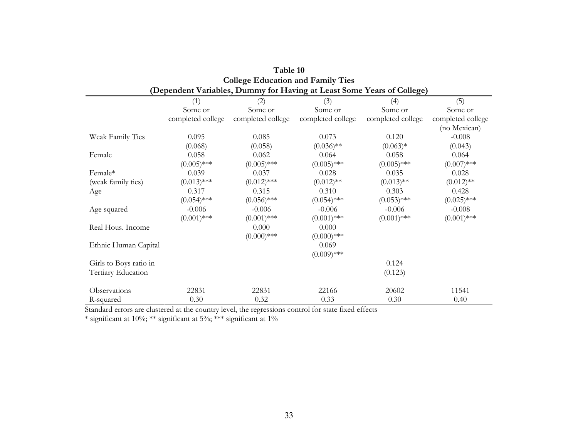|                        | Conege Equeation and Family Ties |                   |                                                                        |                   |                   |  |  |
|------------------------|----------------------------------|-------------------|------------------------------------------------------------------------|-------------------|-------------------|--|--|
|                        |                                  |                   | (Dependent Variables, Dummy for Having at Least Some Years of College) |                   |                   |  |  |
|                        | (1)                              | (2)               | (3)                                                                    | (4)               | (5)               |  |  |
|                        | Some or                          | Some or           | Some or                                                                | Some or           | Some or           |  |  |
|                        | completed college                | completed college | completed college                                                      | completed college | completed college |  |  |
|                        |                                  |                   |                                                                        |                   | (no Mexican)      |  |  |
| Weak Family Ties       | 0.095                            | 0.085             | 0.073                                                                  | 0.120             | $-0.008$          |  |  |
|                        | (0.068)                          | (0.058)           | $(0.036)$ **                                                           | $(0.063)*$        | (0.043)           |  |  |
| Female                 | 0.058                            | 0.062             | 0.064                                                                  | 0.058             | 0.064             |  |  |
|                        | $(0.005)$ ***                    | $(0.005)$ ***     | $(0.005)$ ***                                                          | $(0.005)$ ***     | $(0.007)$ ***     |  |  |
| Female*                | 0.039                            | 0.037             | 0.028                                                                  | 0.035             | 0.028             |  |  |
| (weak family ties)     | $(0.013)$ ***                    | $(0.012)$ ***     | $(0.012)$ **                                                           | $(0.013)$ **      | $(0.012)$ **      |  |  |
| Age                    | 0.317                            | 0.315             | 0.310                                                                  | 0.303             | 0.428             |  |  |
|                        | $(0.054)$ ***                    | $(0.056)$ ***     | $(0.054)$ ***                                                          | $(0.053)$ ***     | $(0.025)$ ***     |  |  |
| Age squared            | $-0.006$                         | $-0.006$          | $-0.006$                                                               | $-0.006$          | $-0.008$          |  |  |
|                        | $(0.001)$ ***                    | $(0.001)$ ***     | $(0.001)$ ***                                                          | $(0.001)$ ***     | $(0.001)$ ***     |  |  |
| Real Hous. Income      |                                  | 0.000             | 0.000                                                                  |                   |                   |  |  |
|                        |                                  | $(0.000)$ ***     | $(0.000)$ ***                                                          |                   |                   |  |  |
| Ethnic Human Capital   |                                  |                   | 0.069                                                                  |                   |                   |  |  |
|                        |                                  |                   | $(0.009)$ ***                                                          |                   |                   |  |  |
| Girls to Boys ratio in |                                  |                   |                                                                        | 0.124             |                   |  |  |
| Tertiary Education     |                                  |                   |                                                                        | (0.123)           |                   |  |  |
| Observations           | 22831                            | 22831             | 22166                                                                  | 20602             | 11541             |  |  |
| R-squared              | 0.30                             | 0.32              | 0.33                                                                   | 0.30              | 0.40              |  |  |

| Table 10                                                              |
|-----------------------------------------------------------------------|
| <b>College Education and Family Ties</b>                              |
| )ependent Variables. Dummy for Having at Least Some Years of College) |

Standard errors are clustered at the country level, the regressions control for state fixed effects

\* significant at 10%; \*\* significant at 5%; \*\*\* significant at 1%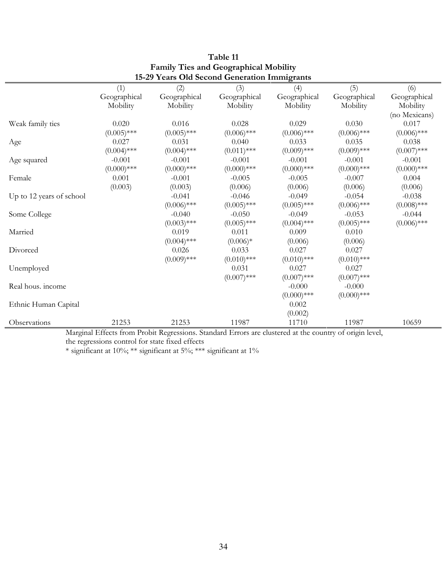|                          | (1)           | 15-29 Tears Old Second Generation Infinite ranks<br>(2) | (3)                  | (4)           | (5)               | (6)           |
|--------------------------|---------------|---------------------------------------------------------|----------------------|---------------|-------------------|---------------|
|                          | Geographical  | Geographical                                            | Geographical         | Geographical  | Geographical      | Geographical  |
|                          | Mobility      | Mobility                                                | Mobility             | Mobility      | Mobility          | Mobility      |
|                          |               |                                                         |                      |               |                   | (no Mexicans) |
| Weak family ties         | 0.020         | 0.016                                                   | 0.028                | 0.029         | 0.030             | 0.017         |
|                          | $(0.005)$ *** | $(0.005)$ ***                                           | $(0.006)$ ***        | $(0.006)$ *** | $(0.006)$ ***     | $(0.006)$ *** |
|                          | 0.027         | 0.031                                                   | 0.040                | 0.033         | 0.035             | 0.038         |
| Age                      | $(0.004)$ *** | $(0.004)$ ***                                           | $(0.011)$ ***        | $(0.009)$ *** | $(0.009)$ ***     | $(0.007)$ *** |
|                          |               |                                                         |                      |               |                   |               |
| Age squared              | $-0.001$      | $-0.001$                                                | $-0.001$             | $-0.001$      | $-0.001$          | $-0.001$      |
|                          | $(0.000)$ *** | $(0.000)$ ***                                           | $(0.000)$ ***        | $(0.000)$ *** | $(0.000)$ ***     | $(0.000)$ *** |
| Female                   | 0.001         | $-0.001$                                                | $-0.005$             | $-0.005$      | $-0.007$          | 0.004         |
|                          | (0.003)       | (0.003)                                                 | (0.006)              | (0.006)       | (0.006)           | (0.006)       |
| Up to 12 years of school |               | $-0.041$                                                | $-0.046$             | $-0.049$      | $-0.054$          | $-0.038$      |
|                          |               | $(0.006)$ ***                                           | $(0.005)$ ***        | $(0.005)$ *** | $(0.006)$ ***     | $(0.008)$ *** |
| Some College             |               | $-0.040$                                                | $-0.050$             | $-0.049$      | $-0.053$          | $-0.044$      |
|                          |               | $(0.003)$ ***                                           | $(0.005)$ ***        | $(0.004)$ *** | $(0.005)$ ***     | $(0.006)$ *** |
| Married                  |               | 0.019                                                   | 0.011                | 0.009         | 0.010             |               |
|                          |               | $(0.004)$ ***                                           | $(0.006)*$           | (0.006)       | (0.006)           |               |
| Divorced                 |               | 0.026                                                   | 0.033                | 0.027         | 0.027             |               |
|                          |               | $(0.009)$ ***                                           | $(0.010)$ ***        | $(0.010)$ *** | $(0.010)$ ***     |               |
| Unemployed               |               |                                                         | 0.031                | 0.027         | 0.027             |               |
|                          |               |                                                         | $(0.007)$ ***        | $(0.007)$ *** | $(0.007)$ ***     |               |
| Real hous. income        |               |                                                         |                      | $-0.000$      | $-0.000$          |               |
|                          |               |                                                         |                      | $(0.000)$ *** | $(0.000)$ ***     |               |
| Ethnic Human Capital     |               |                                                         |                      | 0.002         |                   |               |
|                          |               |                                                         |                      | (0.002)       |                   |               |
| Observations             | 21253         | 21253<br>$\mathbf{D}$ $\mathbf{I}$ $\mathbf{D}$         | 11987<br>$1 \cdot 1$ | 11710         | 11987<br>$\cdots$ | 10659         |

## Table 11 Family Ties and Geographical Mobility 15-29 Years Old Second Generation Immigrants

Marginal Effects from Probit Regressions. Standard Errors are clustered at the country of origin level, the regressions control for state fixed effects

\* significant at 10%; \*\* significant at 5%; \*\*\* significant at 1%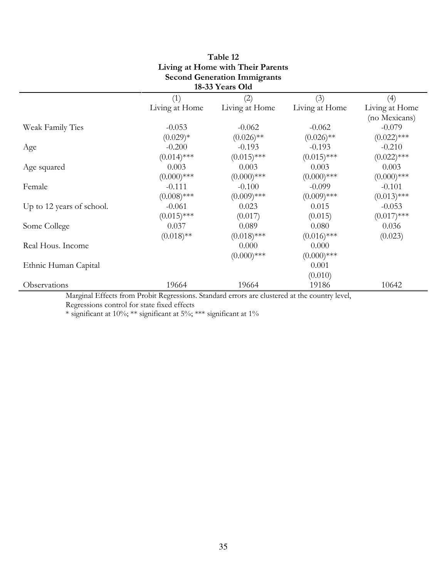| Living at Home with Their Parents<br><b>Second Generation Immigrants</b> |                |                 |                |                |  |
|--------------------------------------------------------------------------|----------------|-----------------|----------------|----------------|--|
|                                                                          |                | 18-33 Years Old |                |                |  |
|                                                                          | (1)            | (2)             | (3)            | (4)            |  |
|                                                                          | Living at Home | Living at Home  | Living at Home | Living at Home |  |
|                                                                          |                |                 |                | (no Mexicans)  |  |
| Weak Family Ties                                                         | $-0.053$       | $-0.062$        | $-0.062$       | $-0.079$       |  |
|                                                                          | $(0.029)*$     | $(0.026)$ **    | $(0.026)$ **   | $(0.022)$ ***  |  |
| Age                                                                      | $-0.200$       | $-0.193$        | $-0.193$       | $-0.210$       |  |
|                                                                          | $(0.014)$ ***  | $(0.015)$ ***   | $(0.015)$ ***  | $(0.022)$ ***  |  |
| Age squared                                                              | 0.003          | 0.003           | 0.003          | 0.003          |  |
|                                                                          | $(0.000)$ ***  | $(0.000)$ ***   | $(0.000)$ ***  | $(0.000)$ ***  |  |
| Female                                                                   | $-0.111$       | $-0.100$        | $-0.099$       | $-0.101$       |  |
|                                                                          | $(0.008)$ ***  | $(0.009)$ ***   | $(0.009)$ ***  | $(0.013)$ ***  |  |
| Up to 12 years of school.                                                | $-0.061$       | 0.023           | 0.015          | $-0.053$       |  |
|                                                                          | $(0.015)$ ***  | (0.017)         | (0.015)        | $(0.017)$ ***  |  |
| Some College                                                             | 0.037          | 0.089           | 0.080          | 0.036          |  |
|                                                                          | $(0.018)$ **   | $(0.018)$ ***   | $(0.016)$ ***  | (0.023)        |  |
| Real Hous. Income                                                        |                | 0.000           | 0.000          |                |  |
|                                                                          |                | $(0.000)$ ***   | $(0.000)$ ***  |                |  |
| Ethnic Human Capital                                                     |                |                 | 0.001          |                |  |
|                                                                          |                |                 | (0.010)        |                |  |
| Observations<br>$M = 1 \cdot 1$                                          | 19664          | 19664           | 19186          | 10642          |  |

# Table 12

Marginal Effects from Probit Regressions. Standard errors are clustered at the country level, Regressions control for state fixed effects

 $\ast$  significant at 10%;  $\ast\ast$  significant at 1% significant at 1%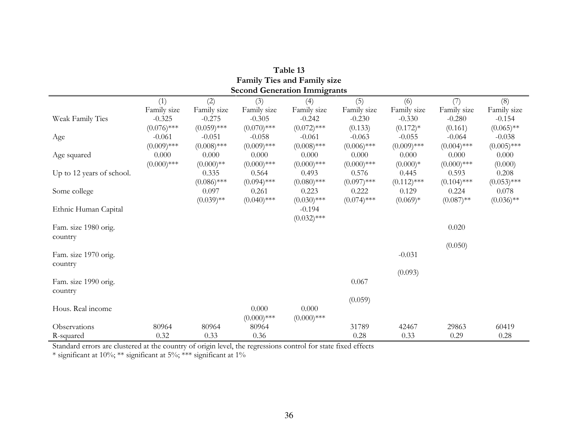| <b>Family Ties and Family size</b> |                           |                           |                           |                                     |                           |                           |                           |                           |
|------------------------------------|---------------------------|---------------------------|---------------------------|-------------------------------------|---------------------------|---------------------------|---------------------------|---------------------------|
|                                    |                           |                           |                           | <b>Second Generation Immigrants</b> |                           |                           |                           |                           |
|                                    | (1)<br>Family size        | (2)<br>Family size        | (3)<br>Family size        | (4)<br>Family size                  | (5)<br>Family size        | (6)<br>Family size        | (7)<br>Family size        | (8)<br>Family size        |
| Weak Family Ties                   | $-0.325$<br>$(0.076)$ *** | $-0.275$<br>$(0.059)$ *** | $-0.305$<br>$(0.070)$ *** | $-0.242$<br>$(0.072)$ ***           | $-0.230$<br>(0.133)       | $-0.330$<br>$(0.172)*$    | $-0.280$<br>(0.161)       | $-0.154$<br>$(0.065)$ **  |
| Age                                | $-0.061$<br>$(0.009)$ *** | $-0.051$<br>$(0.008)$ *** | $-0.058$<br>$(0.009)$ *** | $-0.061$<br>$(0.008)$ ***           | $-0.063$<br>$(0.006)$ *** | $-0.055$<br>$(0.009)$ *** | $-0.064$<br>$(0.004)$ *** | $-0.038$<br>$(0.005)$ *** |
| Age squared                        | 0.000<br>$(0.000)$ ***    | 0.000<br>$(0.000)**$      | 0.000<br>$(0.000)$ ***    | 0.000<br>$(0.000)$ ***              | 0.000<br>$(0.000)$ ***    | 0.000<br>$(0.000)*$       | 0.000<br>$(0.000)$ ***    | 0.000<br>(0.000)          |
| Up to 12 years of school.          |                           | 0.335<br>$(0.086)$ ***    | 0.564<br>$(0.094)$ ***    | 0.493<br>$(0.080)$ ***              | 0.576<br>$(0.097)$ ***    | 0.445<br>$(0.112)$ ***    | 0.593<br>$(0.104)$ ***    | 0.208<br>$(0.053)$ ***    |
| Some college                       |                           | 0.097<br>$(0.039)$ **     | 0.261<br>$(0.040)$ ***    | 0.223<br>$(0.030)$ ***              | 0.222<br>$(0.074)$ ***    | 0.129<br>$(0.069)*$       | 0.224<br>$(0.087)$ **     | 0.078<br>$(0.036)$ **     |
| Ethnic Human Capital               |                           |                           |                           | $-0.194$<br>$(0.032)$ ***           |                           |                           |                           |                           |
| Fam. size 1980 orig.<br>country    |                           |                           |                           |                                     |                           |                           | 0.020                     |                           |
|                                    |                           |                           |                           |                                     |                           |                           | (0.050)                   |                           |
| Fam. size 1970 orig.<br>country    |                           |                           |                           |                                     |                           | $-0.031$                  |                           |                           |
| Fam. size 1990 orig.               |                           |                           |                           |                                     | 0.067                     | (0.093)                   |                           |                           |
| country                            |                           |                           |                           |                                     | (0.059)                   |                           |                           |                           |
| Hous. Real income                  |                           |                           | 0.000<br>$(0.000)$ ***    | 0.000<br>$(0.000)$ ***              |                           |                           |                           |                           |
| Observations                       | 80964                     | 80964                     | 80964                     |                                     | 31789                     | 42467                     | 29863                     | 60419                     |
| R-squared                          | 0.32                      | 0.33                      | 0.36                      |                                     | 0.28                      | 0.33                      | 0.29                      | 0.28                      |

| Table 13                           |
|------------------------------------|
| <b>Family Ties and Family size</b> |
| econd Generation Immiorant         |

Standard errors are clustered at the country of origin level, the regressions control for state fixed effects

 $*$  significant at 10%;  $**$  significant at 5%;  $***$  significant at 1%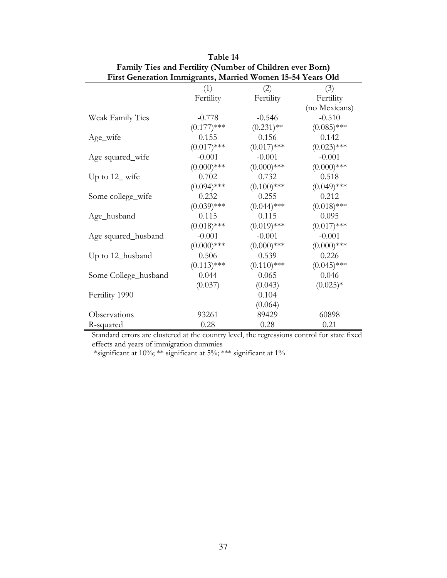| First Generation Immigrants, Married Women 15-54 Years Old |               |               |               |  |  |
|------------------------------------------------------------|---------------|---------------|---------------|--|--|
|                                                            | (1)           | (2)           | (3)           |  |  |
|                                                            | Fertility     | Fertility     | Fertility     |  |  |
|                                                            |               |               | (no Mexicans) |  |  |
| Weak Family Ties                                           | $-0.778$      | $-0.546$      | $-0.510$      |  |  |
|                                                            | $(0.177)$ *** | $(0.231)$ **  | $(0.085)$ *** |  |  |
| Age_wife                                                   | 0.155         | 0.156         | 0.142         |  |  |
|                                                            | $(0.017)$ *** | $(0.017)$ *** | $(0.023)$ *** |  |  |
| Age squared_wife                                           | $-0.001$      | $-0.001$      | $-0.001$      |  |  |
|                                                            | $(0.000)$ *** | $(0.000)$ *** | $(0.000)$ *** |  |  |
| Up to $12$ wife                                            | 0.702         | 0.732         | 0.518         |  |  |
|                                                            | $(0.094)$ *** | $(0.100)$ *** | $(0.049)$ *** |  |  |
| Some college_wife                                          | 0.232         | 0.255         | 0.212         |  |  |
|                                                            | $(0.039)$ *** | $(0.044)$ *** | $(0.018)$ *** |  |  |
| Age_husband                                                | 0.115         | 0.115         | 0.095         |  |  |
|                                                            | $(0.018)$ *** | $(0.019)$ *** | $(0.017)$ *** |  |  |
| Age squared_husband                                        | $-0.001$      | $-0.001$      | $-0.001$      |  |  |
|                                                            | $(0.000)$ *** | $(0.000)$ *** | $(0.000)$ *** |  |  |
| Up to 12_husband                                           | 0.506         | 0.539         | 0.226         |  |  |
|                                                            | $(0.113)$ *** | $(0.110)$ *** | $(0.045)$ *** |  |  |
| Some College_husband                                       | 0.044         | 0.065         | 0.046         |  |  |
|                                                            | (0.037)       | (0.043)       | $(0.025)*$    |  |  |
| Fertility 1990                                             |               | 0.104         |               |  |  |
|                                                            |               | (0.064)       |               |  |  |
| Observations                                               | 93261         | 89429         | 60898         |  |  |
| R-squared                                                  | 0.28          | 0.28          | 0.21          |  |  |

Table 14 Family Ties and Fertility (Number of Children ever Born)

Standard errors are clustered at the country level, the regressions control for state fixed effects and years of immigration dummies

\*significant at 10%; \*\* significant at 5%; \*\*\* significant at 1%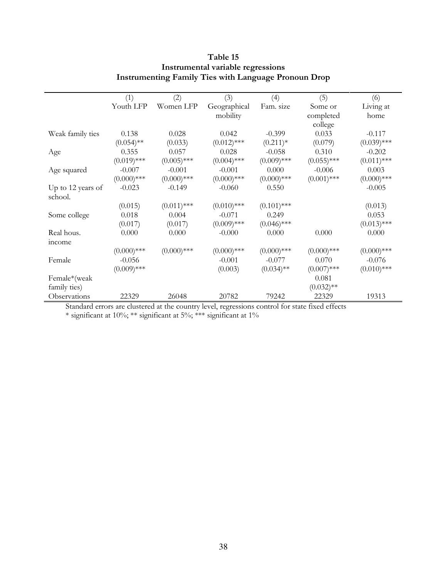|                   | (1)           | (2)           | (3)           | (4)           | (5)           | (6)           |
|-------------------|---------------|---------------|---------------|---------------|---------------|---------------|
|                   | Youth LFP     | Women LFP     | Geographical  | Fam. size     | Some or       | Living at     |
|                   |               |               | mobility      |               | completed     | home          |
|                   |               |               |               |               | college       |               |
| Weak family ties  | 0.138         | 0.028         | 0.042         | $-0.399$      | 0.033         | $-0.117$      |
|                   | $(0.054)$ **  | (0.033)       | $(0.012)$ *** | $(0.211)^*$   | (0.079)       | $(0.039)$ *** |
| Age               | 0.355         | 0.057         | 0.028         | $-0.058$      | 0.310         | $-0.202$      |
|                   | $(0.019)$ *** | $(0.005)$ *** | $(0.004)$ *** | $(0.009)$ *** | $(0.055)$ *** | $(0.011)$ *** |
| Age squared       | $-0.007$      | $-0.001$      | $-0.001$      | 0.000         | $-0.006$      | 0.003         |
|                   | $(0.000)$ *** | $(0.000)$ *** | $(0.000)$ *** | $(0.000)$ *** | $(0.001)$ *** | $(0.000)$ *** |
| Up to 12 years of | $-0.023$      | $-0.149$      | $-0.060$      | 0.550         |               | $-0.005$      |
| school.           |               |               |               |               |               |               |
|                   | (0.015)       | $(0.011)$ *** | $(0.010)$ *** | $(0.101)$ *** |               | (0.013)       |
| Some college      | 0.018         | 0.004         | $-0.071$      | 0.249         |               | 0.053         |
|                   | (0.017)       | (0.017)       | $(0.009)$ *** | $(0.046)$ *** |               | $(0.013)$ *** |
| Real hous.        | 0.000         | 0.000         | $-0.000$      | 0.000         | 0.000         | 0.000         |
| <i>income</i>     |               |               |               |               |               |               |
|                   | $(0.000)$ *** | $(0.000)$ *** | $(0.000)$ *** | $(0.000)$ *** | $(0.000)$ *** | $(0.000)$ *** |
| Female            | $-0.056$      |               | $-0.001$      | $-0.077$      | 0.070         | $-0.076$      |
|                   | $(0.009)$ *** |               | (0.003)       | $(0.034)$ **  | $(0.007)$ *** | $(0.010)$ *** |
| Female*(weak      |               |               |               |               | 0.081         |               |
| family ties)      |               |               |               |               | $(0.032)$ **  |               |
| Observations      | 22329         | 26048         | 20782         | 79242         | 22329         | 19313         |

## Table 15 Instrumental variable regressions Instrumenting Family Ties with Language Pronoun Drop

Standard errors are clustered at the country level, regressions control for state fixed effects

\* significant at 10%; \*\* significant at 5%; \*\*\* significant at 1%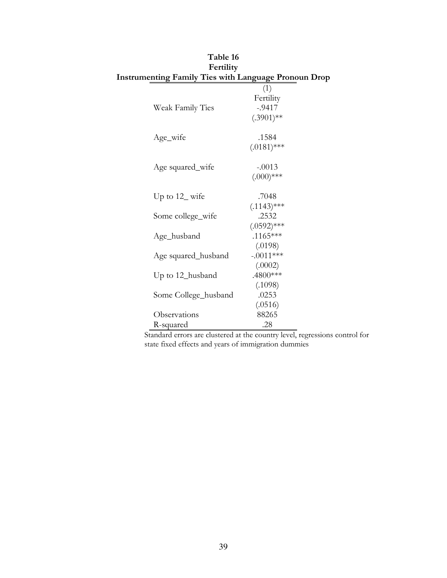| Fertility                                    |
|----------------------------------------------|
| menting Family Ties with Language Pronoun Dr |
| (1)                                          |
| Fertility                                    |
| $-.9417$                                     |
| $(.3901)$ **                                 |
|                                              |
| .1584                                        |
| $(.0181)$ ***                                |
| $-.0013$                                     |
| $(.000)$ ***                                 |
|                                              |
| .7048                                        |
| $(.1143)$ ***                                |
| .2532                                        |
| $(.0592)$ ***                                |
| $.1165***$                                   |
| (.0198)                                      |
| $-.0011***$                                  |
| (.0002)                                      |
| .4800***                                     |
| (.1098)                                      |
| .0253                                        |
| (.0516)                                      |
| 88265                                        |
| .28                                          |
|                                              |

| Table 16                                                    |               |
|-------------------------------------------------------------|---------------|
| Fertility                                                   |               |
| <b>Instrumenting Family Ties with Language Pronoun Drop</b> |               |
|                                                             | (1)           |
|                                                             | Fertility     |
| Weak Family Ties                                            | $-9417$       |
|                                                             | $(.3901)$ **  |
| Age_wife                                                    | .1584         |
|                                                             | $(.0181)$ *** |
| Age squared_wife                                            | $-.0013$      |
|                                                             | $(.000)$ ***  |
| Up to $12$ wife                                             | .7048         |
|                                                             | (1112         |

Standard errors are clustered at the country level, regressions control for state fixed effects and years of immigration dummies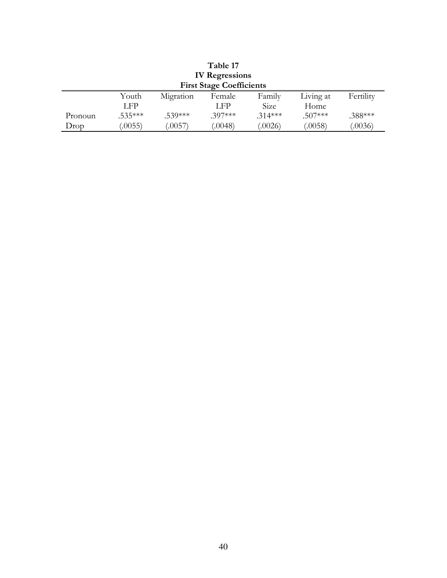| Table 17<br><b>IV Regressions</b> |                  |           |                                 |           |           |           |
|-----------------------------------|------------------|-----------|---------------------------------|-----------|-----------|-----------|
|                                   |                  |           | <b>First Stage Coefficients</b> |           |           |           |
|                                   | Youth            | Migration | Female                          | Family    | Living at | Fertility |
|                                   | LFP <sup>1</sup> |           | LFP                             | Size      | Home      |           |
| Pronoun                           | $.535***$        | $.539***$ | $.397***$                       | $.314***$ | $.507***$ | .388***   |
| Drop                              | (0.0055)         | (.0057)   | (.0048)                         | (.0026)   | (0.058)   | (.0036)   |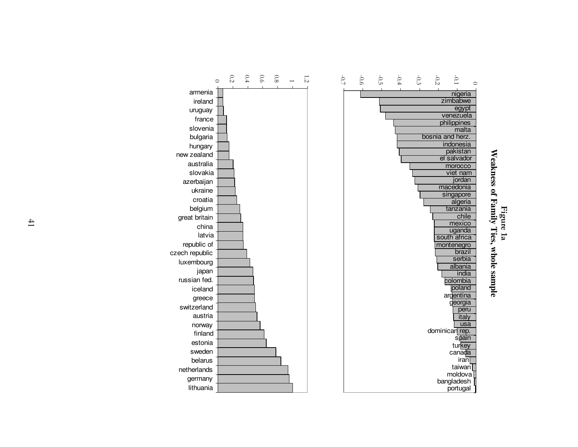

 $\circ$ 

armenia ireland uruguay france slovenia bulgaria hungary new zealand australia slovakia azerbaijan ukraine croatia belgium great britain china latvia republic of czech republic luxembourg japan russian fed.iceland greece switzerland austria norway finland estonia sweden belarus netherlands germanylithuania

0.2

Weakness of Family Ties, whole sample **Weakness of Family Ties, whole sample**  Figure 1a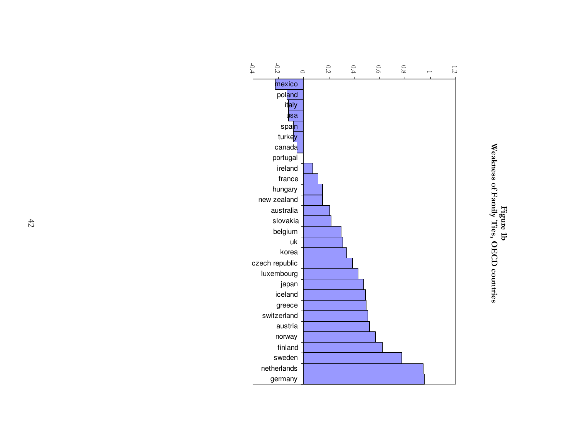

Figure 1b<br>Weakness of Family Ties, OECD countries Weakness of Family Ties, OECD countries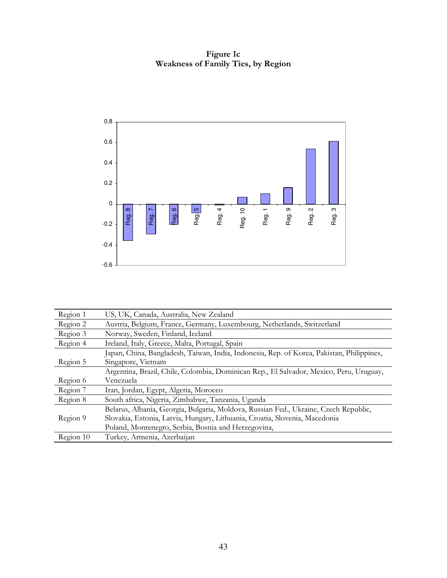Figure 1c Weakness of Family Ties, by Region



| Region 1  | US, UK, Canada, Australia, New Zealand                                                    |
|-----------|-------------------------------------------------------------------------------------------|
| Region 2  | Austria, Belgium, France, Germany, Luxembourg, Netherlands, Switzerland                   |
| Region 3  | Norway, Sweden, Finland, Iceland                                                          |
| Region 4  | Ireland, Italy, Greece, Malta, Portugal, Spain                                            |
|           | Japan, China, Bangladesh, Taiwan, India, Indonesia, Rep. of Korea, Pakistan, Philippines, |
| Region 5  | Singapore, Vietnam                                                                        |
|           | Argentina, Brazil, Chile, Colombia, Dominican Rep., El Salvador, Mexico, Peru, Uruguay,   |
| Region 6  | Venezuela                                                                                 |
| Region 7  | Iran, Jordan, Egypt, Algeria, Morocco                                                     |
| Region 8  | South africa, Nigeria, Zimbabwe, Tanzania, Uganda                                         |
|           | Belarus, Albania, Georgia, Bulgaria, Moldova, Russian Fed., Ukraine, Czech Republic,      |
| Region 9  | Slovakia, Estonia, Latvia, Hungary, Lithuania, Croatia, Slovenia, Macedonia               |
|           | Poland, Montenegro, Serbia, Bosnia and Herzegovina,                                       |
| Region 10 | Turkey, Armenia, Azerbaijan                                                               |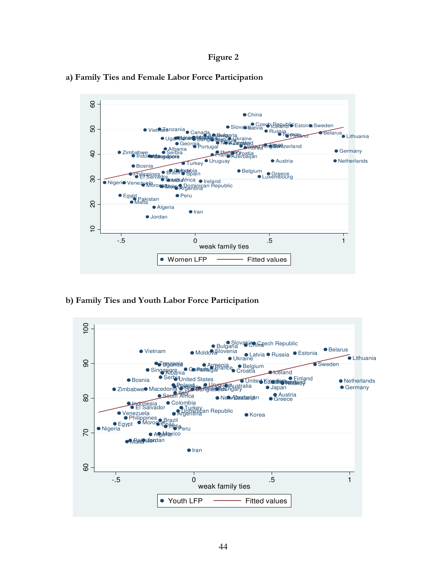Figure 2



a) Family Ties and Female Labor Force Participation

b) Family Ties and Youth Labor Force Participation

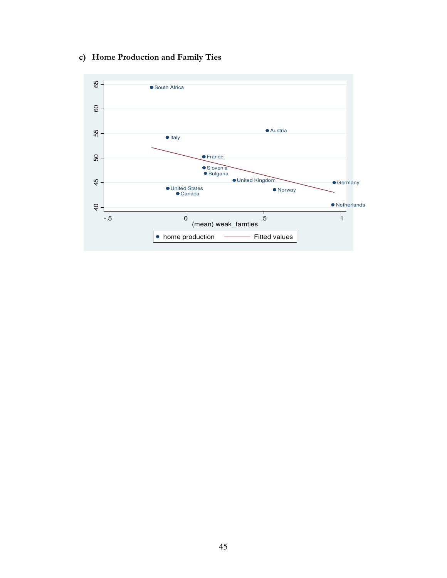# c) Home Production and Family Ties

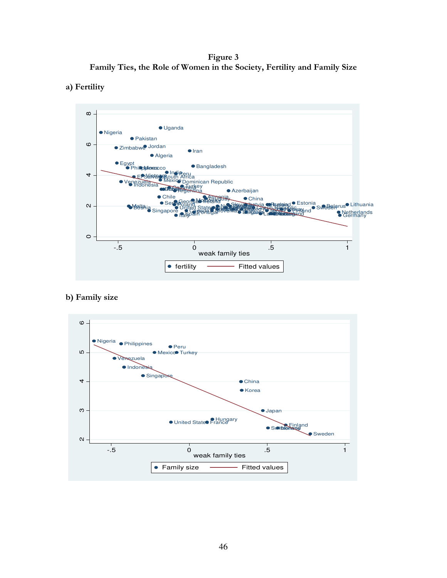Figure 3 Family Ties, the Role of Women in the Society, Fertility and Family Size





b) Family size

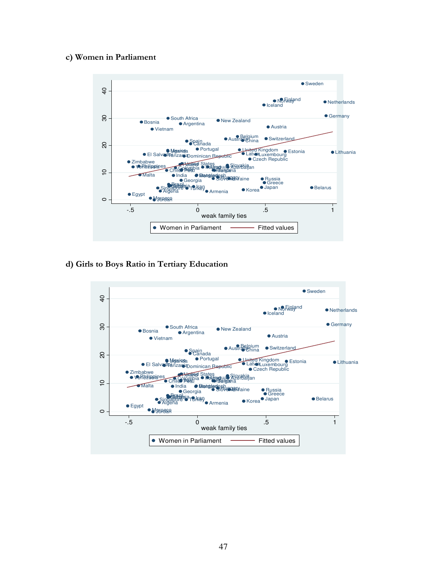#### c) Women in Parliament



#### d) Girls to Boys Ratio in Tertiary Education

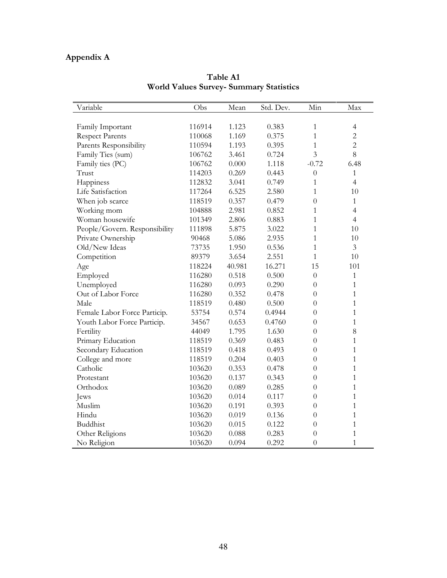# Appendix A

| Variable                      | Obs    | Mean   | Std. Dev. | Min              | Max            |
|-------------------------------|--------|--------|-----------|------------------|----------------|
|                               |        |        |           |                  |                |
| Family Important              | 116914 | 1.123  | 0.383     | 1                | 4              |
| <b>Respect Parents</b>        | 110068 | 1.169  | 0.375     | $\mathbf{1}$     | $\overline{c}$ |
| Parents Responsibility        | 110594 | 1.193  | 0.395     | $\mathbf{1}$     | $\overline{c}$ |
| Family Ties (sum)             | 106762 | 3.461  | 0.724     | $\overline{3}$   | 8              |
| Family ties (PC)              | 106762 | 0.000  | 1.118     | $-0.72$          | 6.48           |
| Trust                         | 114203 | 0.269  | 0.443     | $\theta$         | 1              |
| Happiness                     | 112832 | 3.041  | 0.749     | 1                | $\overline{4}$ |
| Life Satisfaction             | 117264 | 6.525  | 2.580     | 1                | 10             |
| When job scarce               | 118519 | 0.357  | 0.479     | $\overline{0}$   | $\mathbf{1}$   |
| Working mom                   | 104888 | 2.981  | 0.852     | $\mathbf{1}$     | $\overline{4}$ |
| Woman housewife               | 101349 | 2.806  | 0.883     | $\mathbf{1}$     | $\overline{4}$ |
| People/Govern. Responsibility | 111898 | 5.875  | 3.022     | 1                | 10             |
| Private Ownership             | 90468  | 5.086  | 2.935     | $\mathbf{1}$     | 10             |
| Old/New Ideas                 | 73735  | 1.950  | 0.536     | $\mathbf{1}$     | 3              |
| Competition                   | 89379  | 3.654  | 2.551     | 1                | 10             |
| Age                           | 118224 | 40.981 | 16.271    | 15               | 101            |
| Employed                      | 116280 | 0.518  | 0.500     | $\theta$         | 1              |
| Unemployed                    | 116280 | 0.093  | 0.290     | $\theta$         | 1              |
| Out of Labor Force            | 116280 | 0.352  | 0.478     | $\theta$         | 1              |
| Male                          | 118519 | 0.480  | 0.500     | $\theta$         | 1              |
| Female Labor Force Particip.  | 53754  | 0.574  | 0.4944    | $\overline{0}$   | 1              |
| Youth Labor Force Particip.   | 34567  | 0.653  | 0.4760    | $\theta$         | 1              |
| Fertility                     | 44049  | 1.795  | 1.630     | $\overline{0}$   | 8              |
| Primary Education             | 118519 | 0.369  | 0.483     | $\overline{0}$   | $\mathbf{1}$   |
| Secondary Education           | 118519 | 0.418  | 0.493     | $\theta$         | $\mathbf{1}$   |
| College and more              | 118519 | 0.204  | 0.403     | $\theta$         | $\mathbf{1}$   |
| Catholic                      | 103620 | 0.353  | 0.478     | $\overline{0}$   | $\mathbf{1}$   |
| Protestant                    | 103620 | 0.137  | 0.343     | $\theta$         | $\mathbf{1}$   |
| Orthodox                      | 103620 | 0.089  | 0.285     | $\theta$         | $\mathbf{1}$   |
| Jews                          | 103620 | 0.014  | 0.117     | $\overline{0}$   | 1              |
| Muslim                        | 103620 | 0.191  | 0.393     | $\theta$         | 1              |
| Hindu                         | 103620 | 0.019  | 0.136     | $\theta$         | $\mathbf{1}$   |
| <b>Buddhist</b>               | 103620 | 0.015  | 0.122     | $\boldsymbol{0}$ | 1              |
| Other Religions               | 103620 | 0.088  | 0.283     | $\overline{0}$   | $\mathbf{1}$   |
| No Religion                   | 103620 | 0.094  | 0.292     | $\overline{0}$   | $\mathbf{1}$   |

Table A1 World Values Survey- Summary Statistics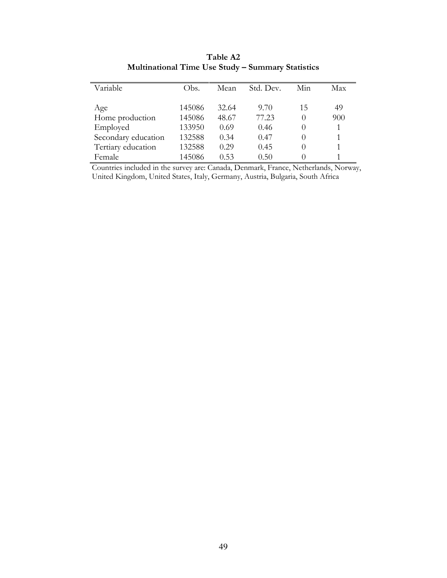| Variable            | Obs.   | Mean  | Std. Dev. | Min              | Max |
|---------------------|--------|-------|-----------|------------------|-----|
| Age                 | 145086 | 32.64 | 9.70      | 15               | 49  |
| Home production     | 145086 | 48.67 | 77.23     | $\left( \right)$ | 900 |
| Employed            | 133950 | 0.69  | 0.46      | $\theta$         | 1   |
| Secondary education | 132588 | 0.34  | 0.47      | $\left( \right)$ | 1   |
| Tertiary education  | 132588 | 0.29  | 0.45      | $\left( \right)$ |     |
| Female              | 145086 | 0.53  | 0.50      |                  |     |

Table A2 Multinational Time Use Study – Summary Statistics

Countries included in the survey are: Canada, Denmark, France, Netherlands, Norway, United Kingdom, United States, Italy, Germany, Austria, Bulgaria, South Africa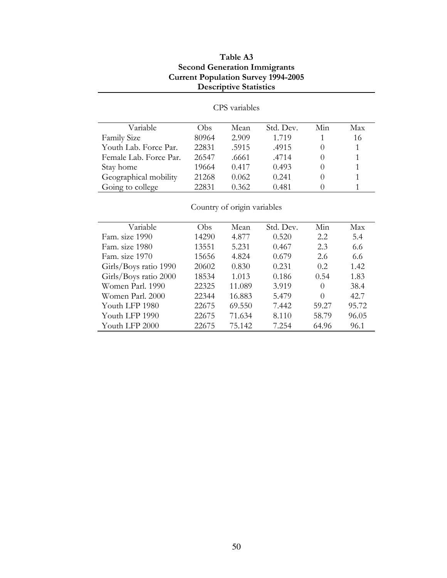## Table A3 Second Generation Immigrants Current Population Survey 1994-2005 Descriptive Statistics

| Variable               | Obs   | Mean  | Std. Dev. | Min | Max |
|------------------------|-------|-------|-----------|-----|-----|
| <b>Family Size</b>     | 80964 | 2.909 | 1.719     |     | 16  |
| Youth Lab. Force Par.  | 22831 | .5915 | .4915     |     |     |
| Female Lab. Force Par. | 26547 | .6661 | .4714     |     |     |
| Stay home              | 19664 | 0.417 | 0.493     |     |     |
| Geographical mobility  | 21268 | 0.062 | 0.241     |     |     |
| Going to college       | 22831 | 0.362 | 0.481     |     |     |

CPS variables

Country of origin variables

| Variable              | Obs   | Mean   | Std. Dev. | Min      | Max   |
|-----------------------|-------|--------|-----------|----------|-------|
| Fam. size 1990        | 14290 | 4.877  | 0.520     | 2.2      | 5.4   |
| Fam. size 1980        | 13551 | 5.231  | 0.467     | 2.3      | 6.6   |
| Fam. size 1970        | 15656 | 4.824  | 0.679     | 2.6      | 6.6   |
| Girls/Boys ratio 1990 | 20602 | 0.830  | 0.231     | 0.2.     | 1.42  |
| Girls/Boys ratio 2000 | 18534 | 1.013  | 0.186     | 0.54     | 1.83  |
| Women Parl. 1990      | 22325 | 11.089 | 3.919     | $\Omega$ | 38.4  |
| Women Parl. 2000      | 22344 | 16.883 | 5.479     | $\Omega$ | 42.7  |
| Youth LFP 1980        | 22675 | 69.550 | 7.442     | 59.27    | 95.72 |
| Youth LFP 1990        | 22675 | 71.634 | 8.110     | 58.79    | 96.05 |
| Youth LFP 2000        | 22675 | 75.142 | 7.254     | 64.96    | 96.1  |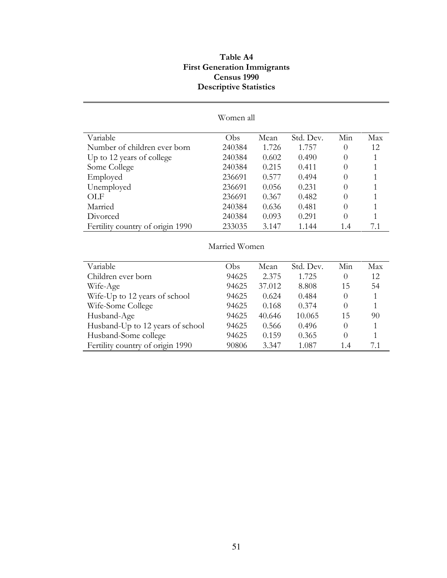## Table A4 First Generation Immigrants Census 1990 Descriptive Statistics

|                                  | Women all |        |           |                |              |  |  |
|----------------------------------|-----------|--------|-----------|----------------|--------------|--|--|
| Variable                         | Obs       | Mean   | Std. Dev. | Min            | Max          |  |  |
| Number of children ever born     | 240384    | 1.726  | 1.757     | $\theta$       | 12           |  |  |
|                                  |           | 0.602  |           |                | 1            |  |  |
| Up to 12 years of college        | 240384    |        | 0.490     | $\theta$       |              |  |  |
| Some College                     | 240384    | 0.215  | 0.411     | $\theta$       | 1            |  |  |
| Employed                         | 236691    | 0.577  | 0.494     | $\theta$       | 1            |  |  |
| Unemployed                       | 236691    | 0.056  | 0.231     | $\Omega$       | 1            |  |  |
| OLF                              | 236691    | 0.367  | 0.482     | $\theta$       | 1            |  |  |
| Married                          | 240384    | 0.636  | 0.481     | $\theta$       | 1            |  |  |
| Divorced                         | 240384    | 0.093  | 0.291     | $\theta$       | 1            |  |  |
| Fertility country of origin 1990 | 233035    | 3.147  | 1.144     | 1.4            | 7.1          |  |  |
| Married Women                    |           |        |           |                |              |  |  |
| Variable                         | Obs       | Mean   | Std. Dev. | Min            | Max          |  |  |
| Children ever born               | 94625     | 2.375  | 1.725     | $\theta$       | 12           |  |  |
| Wife-Age                         | 94625     | 37.012 | 8.808     | 15             | 54           |  |  |
| Wife-Up to 12 years of school    | 94625     | 0.624  | 0.484     | $\theta$       | $\mathbf{1}$ |  |  |
| Wife-Some College                | 94625     | 0.168  | 0.374     | $\Omega$       | $\mathbf{1}$ |  |  |
| Husband-Age                      | 94625     | 40.646 | 10.065    | 15             | 90           |  |  |
| Husband-Up to 12 years of school | 94625     | 0.566  | 0.496     | $\overline{0}$ | 1            |  |  |
| Husband-Some college             | 94625     | 0.159  | 0.365     | $\theta$       | 1            |  |  |
|                                  |           |        |           |                |              |  |  |